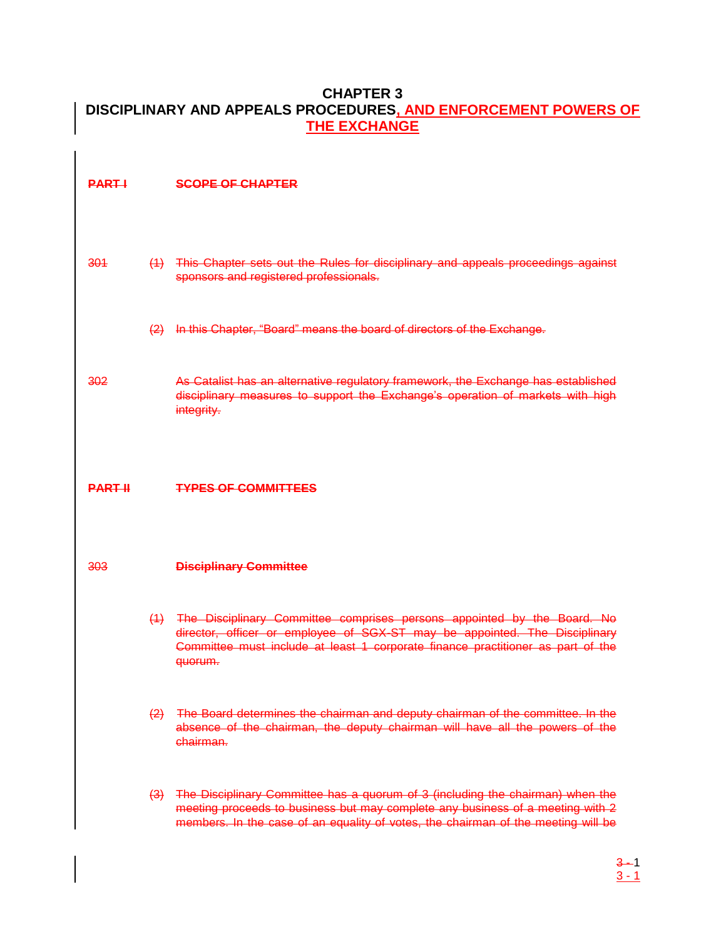### **CHAPTER 3 DISCIPLINARY AND APPEALS PROCEDURES, AND ENFORCEMENT POWERS OF THE EXCHANGE**

**PART I SCOPE OF CHAPTER** 

- 301 (1) This Chapter sets out the Rules for disciplinary and appeals proceedings against sponsors and registered professionals.
	- (2) In this Chapter, "Board" means the board of directors of the Exchange.

302 As Catalist has an alternative regulatory framework, the Exchange has established disciplinary measures to support the Exchange's operation of markets with high integrity.

#### **PART II TYPES OF COMMITTEES**

#### 303 **Disciplinary Committee**

- (1) The Disciplinary Committee comprises persons appointed by the Board. No director, officer or employee of SGX-ST may be appointed. The Disciplinary Committee must include at least 1 corporate finance practitioner as part of the quorum.
- (2) The Board determines the chairman and deputy chairman of the committee. In the absence of the chairman, the deputy chairman will have all the powers of the chairman.
- (3) The Disciplinary Committee has a quorum of 3 (including the chairman) when the meeting proceeds to business but may complete any business of a meeting with 2 members. In the case of an equality of votes, the chairman of the meeting will be

 $3 - 1$  $3 - 1$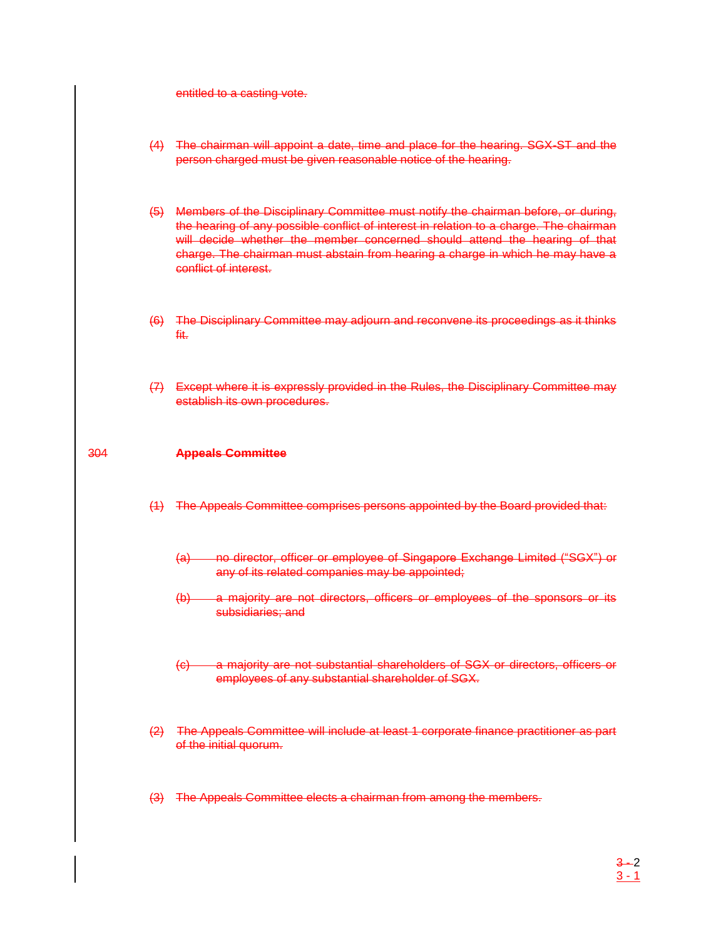entitled to a casting vote.

- (4) The chairman will appoint a date, time and place for the hearing. SGX-ST and the person charged must be given reasonable notice of the hearing.
- (5) Members of the Disciplinary Committee must notify the chairman before, or during, the hearing of any possible conflict of interest in relation to a charge. The chairman will decide whether the member concerned should attend the hearing of that charge. The chairman must abstain from hearing a charge in which he may have a conflict of interest.
- (6) The Disciplinary Committee may adjourn and reconvene its proceedings as it thinks fit.
- (7) Except where it is expressly provided in the Rules, the Disciplinary Committee may establish its own procedures.

### 304 **Appeals Committee**

- (1) The Appeals Committee comprises persons appointed by the Board provided that:
	- (a) no director, officer or employee of Singapore Exchange Limited ("SGX") or any of its related companies may be appointed;
	- (b) a majority are not directors, officers or employees of the sponsors or its subsidiaries; and
	- (c) a majority are not substantial shareholders of SGX or directors, officers or employees of any substantial shareholder of SGX.
- (2) The Appeals Committee will include at least 1 corporate finance practitioner as part of the initial quorum.
- (3) The Appeals Committee elects a chairman from among the members.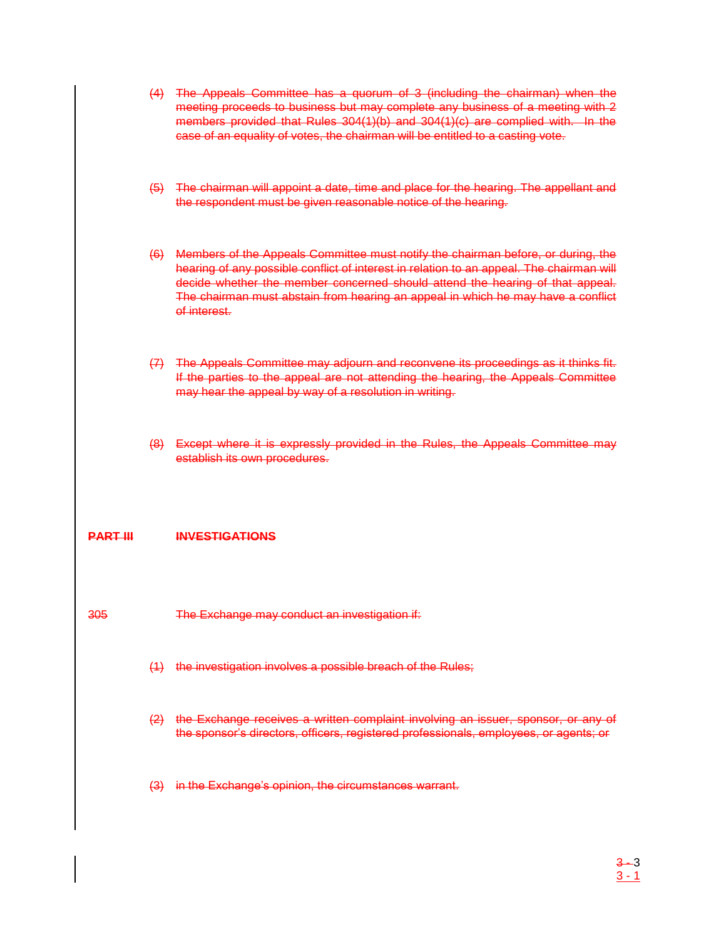- (4) The Appeals Committee has a quorum of 3 (including the chairman) when the meeting proceeds to business but may complete any business of a meeting with 2 members provided that Rules 304(1)(b) and 304(1)(c) are complied with. In the case of an equality of votes, the chairman will be entitled to a casting vote.
- (5) The chairman will appoint a date, time and place for the hearing. The appellant and the respondent must be given reasonable notice of the hearing.
- (6) Members of the Appeals Committee must notify the chairman before, or during, the hearing of any possible conflict of interest in relation to an appeal. The chairman will decide whether the member concerned should attend the hearing of that appeal. The chairman must abstain from hearing an appeal in which he may have a conflict of interest.
- (7) The Appeals Committee may adjourn and reconvene its proceedings as it thinks fit. If the parties to the appeal are not attending the hearing, the Appeals Committee may hear the appeal by way of a resolution in writing.
- (8) Except where it is expressly provided in the Rules, the Appeals Committee may establish its own procedures.

### **PART III INVESTIGATIONS**

- 305 The Exchange may conduct an investigation if:
	- (1) the investigation involves a possible breach of the Rules;
	- (2) the Exchange receives a written complaint involving an issuer, sponsor, or any of the sponsor's directors, officers, registered professionals, employees, or agents; or
	- (3) in the Exchange's opinion, the circumstances warrant.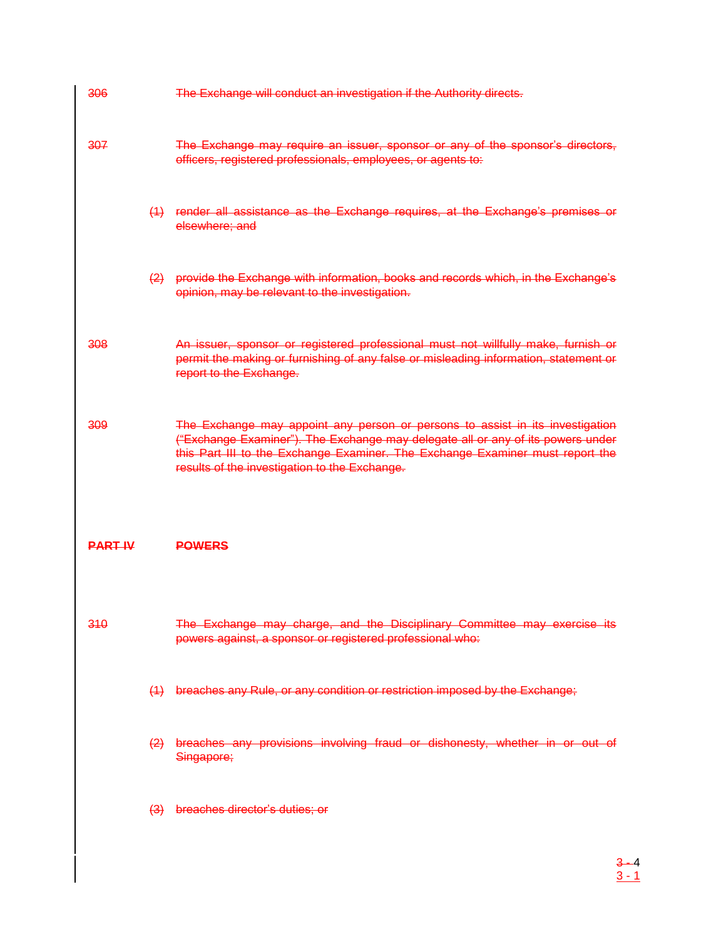| 306            |                   | The Exchange will conduct an investigation if the Authority directs.                                                                                                                                                                                                                               |
|----------------|-------------------|----------------------------------------------------------------------------------------------------------------------------------------------------------------------------------------------------------------------------------------------------------------------------------------------------|
| 307            |                   | The Exchange may require an issuer, sponsor or any of the sponsor's directors,<br>officers, registered professionals, employees, or agents to:                                                                                                                                                     |
|                | (4)               | render all assistance as the Exchange requires, at the Exchange's premises or<br>elsewhere; and                                                                                                                                                                                                    |
|                | $\left( 2\right)$ | provide the Exchange with information, books and records which, in the Exchange's<br>opinion, may be relevant to the investigation.                                                                                                                                                                |
| 308            |                   | An issuer, sponsor or registered professional must not willfully make, furnish or<br>permit the making or furnishing of any false or misleading information, statement or<br>report to the Exchange.                                                                                               |
| 309            |                   | The Exchange may appoint any person or persons to assist in its investigation<br>("Exchange Examiner"). The Exchange may delegate all or any of its powers under<br>this Part III to the Exchange Examiner. The Exchange Examiner must report the<br>results of the investigation to the Exchange. |
| <b>PART IV</b> |                   | <b>POWERS</b>                                                                                                                                                                                                                                                                                      |
| 310            |                   | The Exchange may charge, and the Disciplinary Committee may exercise its<br>powers against, a sponsor or registered professional who:                                                                                                                                                              |
|                |                   | (1) breaches any Rule, or any condition or restriction imposed by the Exchange;                                                                                                                                                                                                                    |
|                |                   | (2) breaches any provisions involving fraud or dishonesty, whether in or out of<br>Singapore;                                                                                                                                                                                                      |
|                |                   | (3) breaches director's duties; or                                                                                                                                                                                                                                                                 |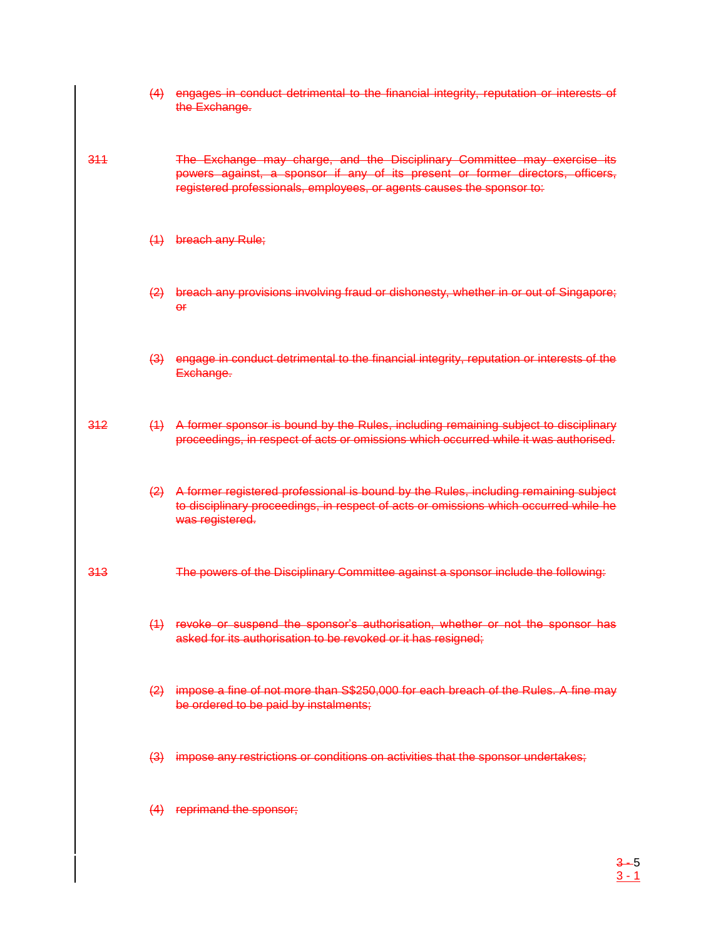|     | (4)               | engages in conduct detrimental to the financial integrity, reputation or interests of<br>the Exchange.                                                                                                                              |
|-----|-------------------|-------------------------------------------------------------------------------------------------------------------------------------------------------------------------------------------------------------------------------------|
| 344 |                   | The Exchange may charge, and the Disciplinary Committee may exercise its<br>powers against, a sponsor if any of its present or former directors, officers,<br>registered professionals, employees, or agents causes the sponsor to: |
|     | (4)               | breach any Rule;                                                                                                                                                                                                                    |
|     | $\left( 2\right)$ | breach any provisions involving fraud or dishonesty, whether in or out of Singapore;<br>$\overline{e}$                                                                                                                              |
|     | $\left(3\right)$  | engage in conduct detrimental to the financial integrity, reputation or interests of the<br>Exchange.                                                                                                                               |
| 312 | (4)               | A former sponsor is bound by the Rules, including remaining subject to disciplinary<br>proceedings, in respect of acts or omissions which occurred while it was authorised.                                                         |
|     | $\left(2\right)$  | A former registered professional is bound by the Rules, including remaining subject<br>to disciplinary proceedings, in respect of acts or omissions which occurred while he<br>was registered.                                      |
| 313 |                   | The powers of the Disciplinary Committee against a sponsor include the following:                                                                                                                                                   |
|     |                   | (1) revoke or suspend the sponsor's authorisation, whether or not the sponsor has<br>asked for its authorisation to be revoked or it has resigned;                                                                                  |
|     |                   | (2) impose a fine of not more than S\$250,000 for each breach of the Rules. A fine may<br>be ordered to be paid by instalments;                                                                                                     |
|     |                   | (3) impose any restrictions or conditions on activities that the sponsor undertakes;                                                                                                                                                |
|     |                   | (4) reprimand the sponsor;                                                                                                                                                                                                          |

3 - 5 3 - 1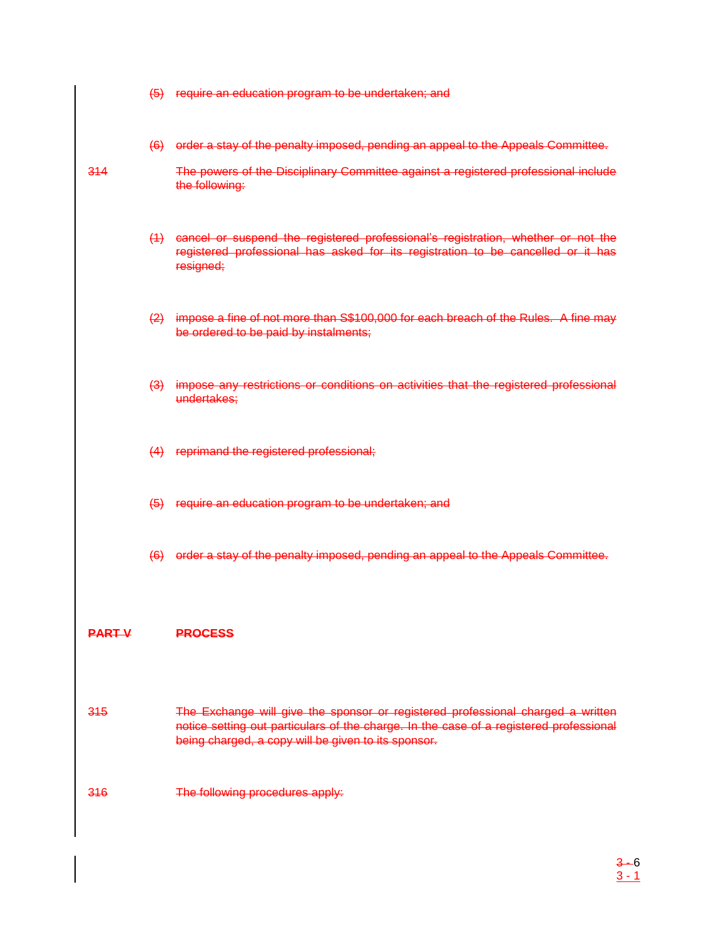(5) require an education program to be undertaken; and (6) order a stay of the penalty imposed, pending an appeal to the Appeals Committee. 314 The powers of the Disciplinary Committee against a registered professional include the following: (1) cancel or suspend the registered professional's registration, whether or not the registered professional has asked for its registration to be cancelled or it has resigned; (2) impose a fine of not more than S\$100,000 for each breach of the Rules. A fine may be ordered to be paid by instalments; (3) impose any restrictions or conditions on activities that the registered professional undertakes; (4) reprimand the registered professional; (5) require an education program to be undertaken; and (6) order a stay of the penalty imposed, pending an appeal to the Appeals Committee. **PART V PROCESS** 315 The Exchange will give the sponsor or registered professional charged a written notice setting out particulars of the charge. In the case of a registered professional being charged, a copy will be given to its sponsor. 316 The following procedures apply:

> $3 - 6$  $3 - 1$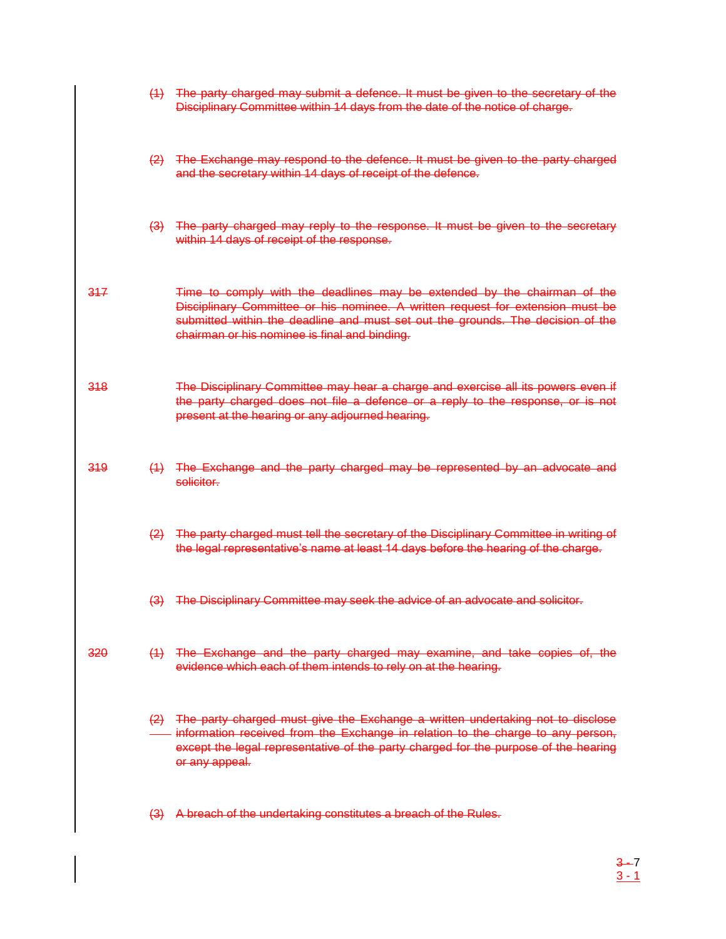|     | (4)              | The party charged may submit a defence. It must be given to the secretary of the<br>Disciplinary Committee within 14 days from the date of the notice of charge.                                                                                                                               |
|-----|------------------|------------------------------------------------------------------------------------------------------------------------------------------------------------------------------------------------------------------------------------------------------------------------------------------------|
|     | $\left(2\right)$ | The Exchange may respond to the defence. It must be given to the party charged<br>and the secretary within 14 days of receipt of the defence.                                                                                                                                                  |
|     | $\left(3\right)$ | The party charged may reply to the response. It must be given to the secretary<br>within 14 days of receipt of the response.                                                                                                                                                                   |
| 317 |                  | Time to comply with the deadlines may be extended by the chairman of the<br>Disciplinary Committee or his nominee. A written request for extension must be<br>submitted within the deadline and must set out the grounds. The decision of the<br>chairman or his nominee is final and binding. |
| 318 |                  | The Disciplinary Committee may hear a charge and exercise all its powers even if<br>the party charged does not file a defence or a reply to the response, or is not<br>present at the hearing or any adjourned hearing.                                                                        |
| 319 | (4)              | The Exchange and the party charged may be represented by an advocate and<br>solicitor.                                                                                                                                                                                                         |
|     | $\left(2\right)$ | The party charged must tell the secretary of the Disciplinary Committee in writing of<br>the legal representative's name at least 14 days before the hearing of the charge.                                                                                                                    |
|     | $\left(3\right)$ | The Disciplinary Committee may seek the advice of an advocate and solicitor.                                                                                                                                                                                                                   |
| 320 |                  | (1) The Exchange and the party charged may examine, and take copies of, the<br>evidence which each of them intends to rely on at the hearing.                                                                                                                                                  |
|     |                  | (2) The party charged must give the Exchange a written undertaking not to disclose<br>- information received from the Exchange in relation to the charge to any person,<br>except the legal representative of the party charged for the purpose of the hearing<br>or any appeal.               |
|     | $\left(3\right)$ | A breach of the undertaking constitutes a breach of the Rules.                                                                                                                                                                                                                                 |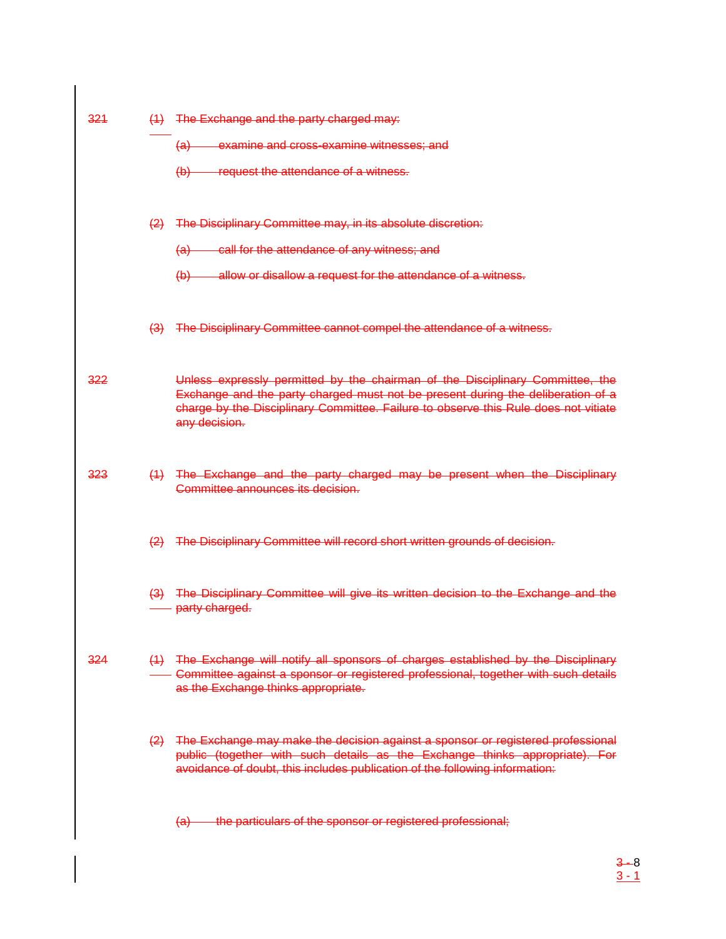| 321 |                   | (1) The Exchange and the party charged may:                                                                                                                                                                                                                              |
|-----|-------------------|--------------------------------------------------------------------------------------------------------------------------------------------------------------------------------------------------------------------------------------------------------------------------|
|     |                   | (a) examine and cross-examine witnesses; and                                                                                                                                                                                                                             |
|     |                   | (b) request the attendance of a witness.                                                                                                                                                                                                                                 |
|     | $\left( 2\right)$ | The Disciplinary Committee may, in its absolute discretion:                                                                                                                                                                                                              |
|     |                   | (a) call for the attendance of any witness; and                                                                                                                                                                                                                          |
|     |                   | (b) allow or disallow a request for the attendance of a witness.                                                                                                                                                                                                         |
|     |                   | (3) The Disciplinary Committee cannot compel the attendance of a witness.                                                                                                                                                                                                |
| 322 |                   | Unless expressly permitted by the chairman of the Disciplinary Committee, the<br>Exchange and the party charged must not be present during the deliberation of a<br>charge by the Disciplinary Committee. Failure to observe this Rule does not vitiate<br>any decision. |
| 323 |                   | (1) The Exchange and the party charged may be present when the Disciplinary<br>Committee announces its decision.                                                                                                                                                         |
|     | $\left( 2\right)$ | The Disciplinary Committee will record short written grounds of decision.                                                                                                                                                                                                |
|     |                   | (3) The Disciplinary Committee will give its written decision to the Exchange and the<br>- party charged.                                                                                                                                                                |
| 324 |                   | (1) The Exchange will notify all sponsors of charges established by the Disciplinary<br>- Committee against a sponsor or registered professional, together with such details<br>as the Exchange thinks appropriate.                                                      |
|     | $\leftrightarrow$ | The Exchange may make the decision against a sponsor or registered professional<br>public (together with such details as the Exchange thinks appropriate). For<br>avoidance of doubt, this includes publication of the following information:                            |
|     |                   | the particulars of the sponsor or registered professional;<br><del>(a)</del>                                                                                                                                                                                             |

3 - 8 3 - 1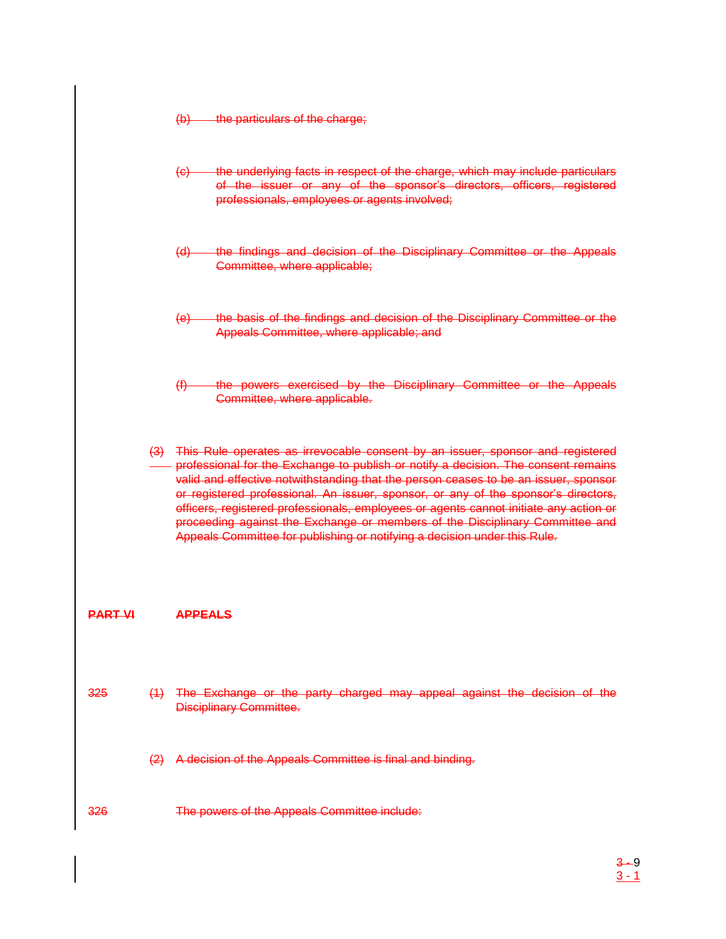(b) the particulars of the charge;

| $\left(\theta\right)$ |  |  | the underlying facts in respect of the charge, which may include particulars |  |  |
|-----------------------|--|--|------------------------------------------------------------------------------|--|--|
|                       |  |  |                                                                              |  |  |
|                       |  |  | of the issuer or any of the sponsor's directors, officers, registered        |  |  |
|                       |  |  | professionals, employees or agents involved;                                 |  |  |

- (d) the findings and decision of the Disciplinary Committee or the Appeals Committee, where applicable;
- (e) the basis of the findings and decision of the Disciplinary Committee or the Appeals Committee, where applicable; and
- (f) the powers exercised by the Disciplinary Committee or the Appeals Committee, where applicable.

(3) This Rule operates as irrevocable consent by an issuer, sponsor and registered professional for the Exchange to publish or notify a decision. The consent remains valid and effective notwithstanding that the person ceases to be an issuer, sponsor or registered professional. An issuer, sponsor, or any of the sponsor's directors, officers, registered professionals, employees or agents cannot initiate any action or proceeding against the Exchange or members of the Disciplinary Committee and Appeals Committee for publishing or notifying a decision under this Rule.

#### **PART VI APPEALS**

- 325 (1) The Exchange or the party charged may appeal against the decision of the Disciplinary Committee.
	- (2) A decision of the Appeals Committee is final and binding.
- 326 The powers of the Appeals Committee include: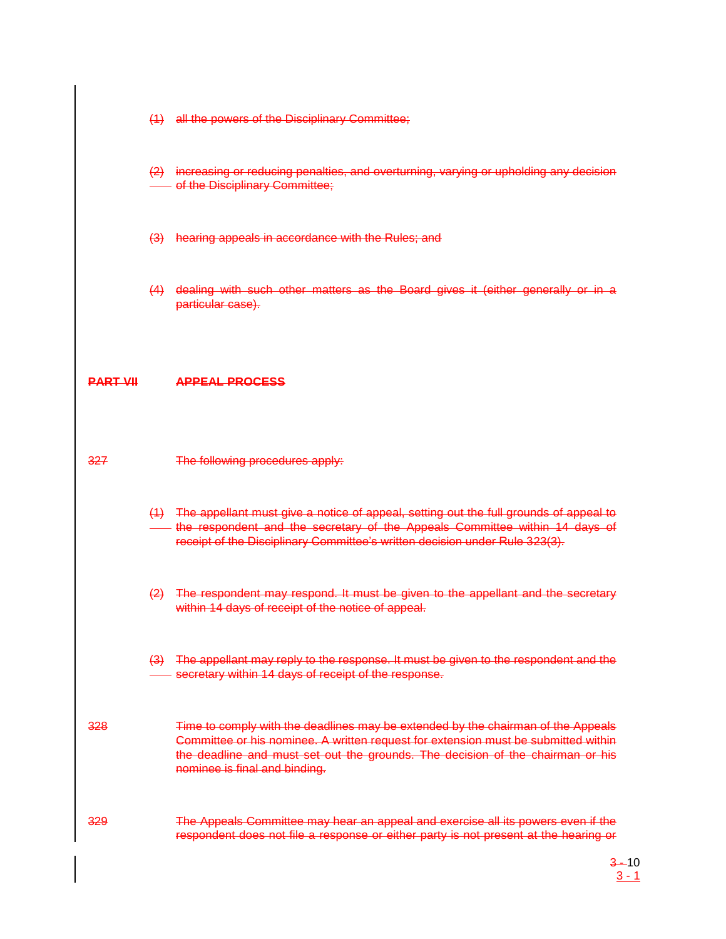- (1) all the powers of the Disciplinary Committee;
- (2) increasing or reducing penalties, and overturning, varying or upholding any decision **Foll the Disciplinary Committee;**
- (3) hearing appeals in accordance with the Rules; and
- (4) dealing with such other matters as the Board gives it (either generally or in a particular case).

#### **PART VII APPEAL PROCESS**

- 327 The following procedures apply:
	- (1) The appellant must give a notice of appeal, setting out the full grounds of appeal to - the respondent and the secretary of the Appeals Committee within 14 days of receipt of the Disciplinary Committee's written decision under Rule 323(3).
	- (2) The respondent may respond. It must be given to the appellant and the secretary within 14 days of receipt of the notice of appeal.
	- (3) The appellant may reply to the response. It must be given to the respondent and the secretary within 14 days of receipt of the response.
- 328 Time to comply with the deadlines may be extended by the chairman of the Appeals Committee or his nominee. A written request for extension must be submitted within the deadline and must set out the grounds. The decision of the chairman or his nominee is final and binding.
- 329 The Appeals Committee may hear an appeal and exercise all its powers even if the respondent does not file a response or either party is not present at the hearing or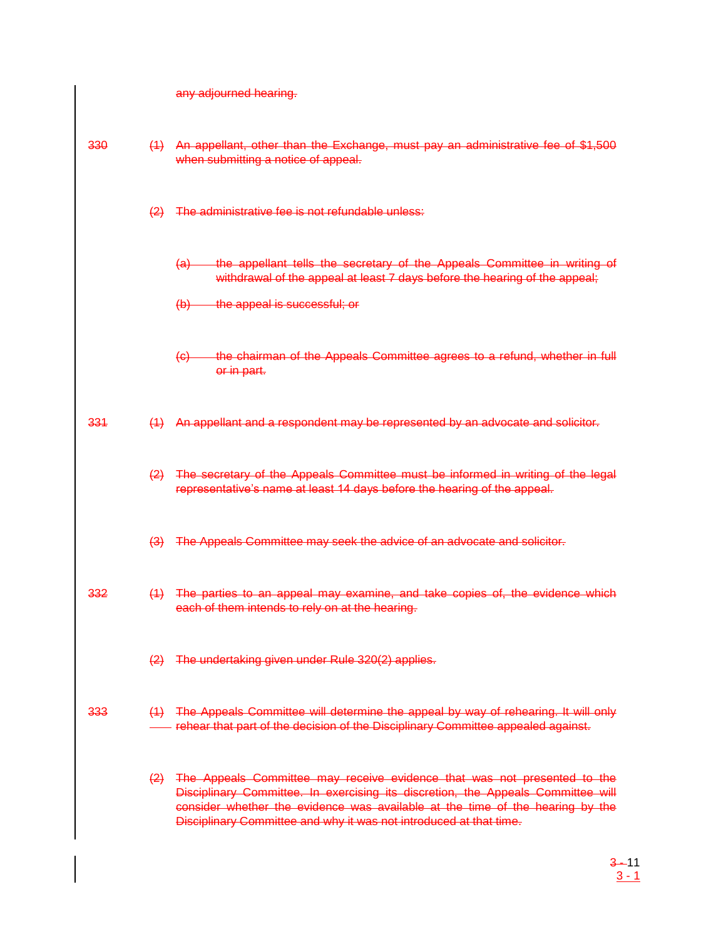|  |  | any adjourned hearing. |  |
|--|--|------------------------|--|
|  |  |                        |  |
|  |  |                        |  |
|  |  |                        |  |

| 330 |                  | (1) An appellant, other than the Exchange, must pay an administrative fee of \$1,500<br>when submitting a notice of appeal.                                                                                                                                                                                         |
|-----|------------------|---------------------------------------------------------------------------------------------------------------------------------------------------------------------------------------------------------------------------------------------------------------------------------------------------------------------|
|     | $\left(2\right)$ | The administrative fee is not refundable unless:                                                                                                                                                                                                                                                                    |
|     |                  | the appellant tells the secretary of the Appeals Committee in writing of<br><del>(a)</del><br>withdrawal of the appeal at least 7 days before the hearing of the appeal;                                                                                                                                            |
|     |                  | $(b)$ the appeal is successful; or                                                                                                                                                                                                                                                                                  |
|     |                  | the chairman of the Appeals Committee agrees to a refund, whether in full<br><del>(c) —</del><br>or in part.                                                                                                                                                                                                        |
| 331 | (4)              | An appellant and a respondent may be represented by an advocate and solicitor.                                                                                                                                                                                                                                      |
|     | $\left(2\right)$ | The secretary of the Appeals Committee must be informed in writing of the legal<br>representative's name at least 14 days before the hearing of the appeal.                                                                                                                                                         |
|     |                  | (3) The Appeals Committee may seek the advice of an advocate and solicitor.                                                                                                                                                                                                                                         |
| 332 |                  | (1) The parties to an appeal may examine, and take copies of, the evidence which<br>each of them intends to rely on at the hearing.                                                                                                                                                                                 |
|     |                  | (2) The undertaking given under Rule 320(2) applies.                                                                                                                                                                                                                                                                |
| 333 |                  | (1) The Appeals Committee will determine the appeal by way of rehearing. It will only<br>rehear that part of the decision of the Disciplinary Committee appealed against.                                                                                                                                           |
|     | $\left(2\right)$ | The Appeals Committee may receive evidence that was not presented to the<br>Disciplinary Committee. In exercising its discretion, the Appeals Committee will<br>consider whether the evidence was available at the time of the hearing by the<br>Disciplinary Committee and why it was not introduced at that time. |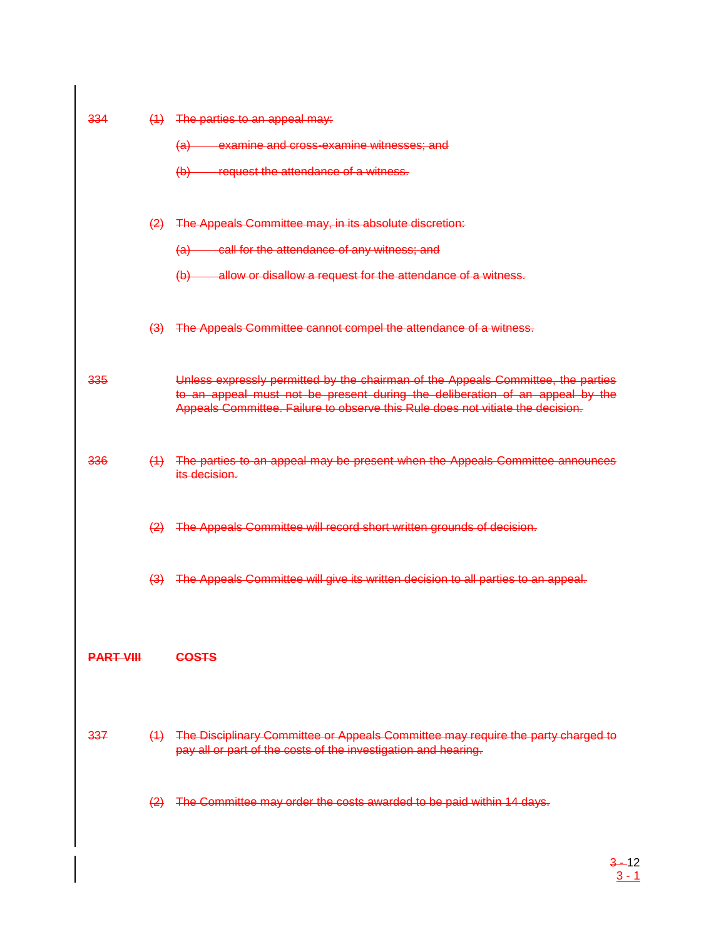| 334              |                   | $(1)$ The parties to an appeal may:                                                                                                                                                                                                                |
|------------------|-------------------|----------------------------------------------------------------------------------------------------------------------------------------------------------------------------------------------------------------------------------------------------|
|                  |                   | (a) examine and cross-examine witnesses; and                                                                                                                                                                                                       |
|                  |                   | (b) request the attendance of a witness.                                                                                                                                                                                                           |
|                  |                   | (2) The Appeals Committee may, in its absolute discretion:                                                                                                                                                                                         |
|                  |                   | (a) call for the attendance of any witness; and                                                                                                                                                                                                    |
|                  |                   | (b) allow or disallow a request for the attendance of a witness.                                                                                                                                                                                   |
|                  |                   | (3) The Appeals Committee cannot compel the attendance of a witness.                                                                                                                                                                               |
| 335              |                   | Unless expressly permitted by the chairman of the Appeals Committee, the parties<br>to an appeal must not be present during the deliberation of an appeal by the<br>Appeals Committee. Failure to observe this Rule does not vitiate the decision. |
| 336              |                   | (1) The parties to an appeal may be present when the Appeals Committee announces<br>its decision.                                                                                                                                                  |
|                  |                   | (2) The Appeals Committee will record short written grounds of decision.                                                                                                                                                                           |
|                  |                   | (3) The Appeals Committee will give its written decision to all parties to an appeal.                                                                                                                                                              |
| <b>PART VIII</b> |                   | <b>COSTS</b>                                                                                                                                                                                                                                       |
| 337              |                   | (1) The Disciplinary Committee or Appeals Committee may require the party charged to<br>pay all or part of the costs of the investigation and hearing.                                                                                             |
|                  | $\left( 2\right)$ | The Committee may order the costs awarded to be paid within 14 days.                                                                                                                                                                               |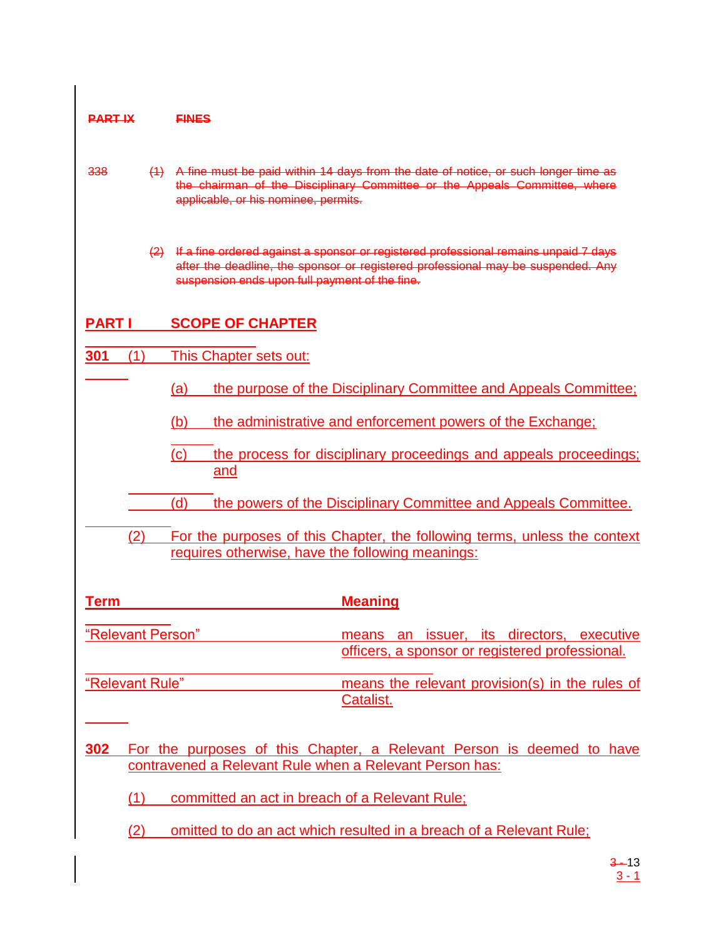| <b>PART IX</b>    | <b>FINES</b>                                                                                                                                                                                                                   |
|-------------------|--------------------------------------------------------------------------------------------------------------------------------------------------------------------------------------------------------------------------------|
| 338               | (1) A fine must be paid within 14 days from the date of notice, or such longer time as<br>the chairman of the Disciplinary Committee or the Appeals Committee, where<br>applicable, or his nominee, permits.                   |
|                   | (2) If a fine ordered against a sponsor or registered professional remains unpaid 7 days<br>after the deadline, the sponsor or registered professional may be suspended. Any<br>suspension ends upon full payment of the fine. |
| <b>PARTI</b>      | <b>SCOPE OF CHAPTER</b>                                                                                                                                                                                                        |
| 301<br>(1)        | This Chapter sets out:                                                                                                                                                                                                         |
|                   | the purpose of the Disciplinary Committee and Appeals Committee;<br>(a)                                                                                                                                                        |
|                   | (b)<br>the administrative and enforcement powers of the Exchange;                                                                                                                                                              |
|                   | (c)<br>the process for disciplinary proceedings and appeals proceedings;<br>and                                                                                                                                                |
|                   | (d)<br>the powers of the Disciplinary Committee and Appeals Committee.                                                                                                                                                         |
| (2)               | For the purposes of this Chapter, the following terms, unless the context<br>requires otherwise, have the following meanings:                                                                                                  |
| <b>Term</b>       | <b>Meaning</b>                                                                                                                                                                                                                 |
| "Relevant Person" | means an issuer, its directors, executive<br>officers, a sponsor or registered professional.                                                                                                                                   |
| "Relevant Rule"   | means the relevant provision(s) in the rules of<br>Catalist.                                                                                                                                                                   |
| 302               | For the purposes of this Chapter, a Relevant Person is deemed to have<br>contravened a Relevant Rule when a Relevant Person has:                                                                                               |
| (1)               | committed an act in breach of a Relevant Rule;                                                                                                                                                                                 |
| (2)               | omitted to do an act which resulted in a breach of a Relevant Rule;                                                                                                                                                            |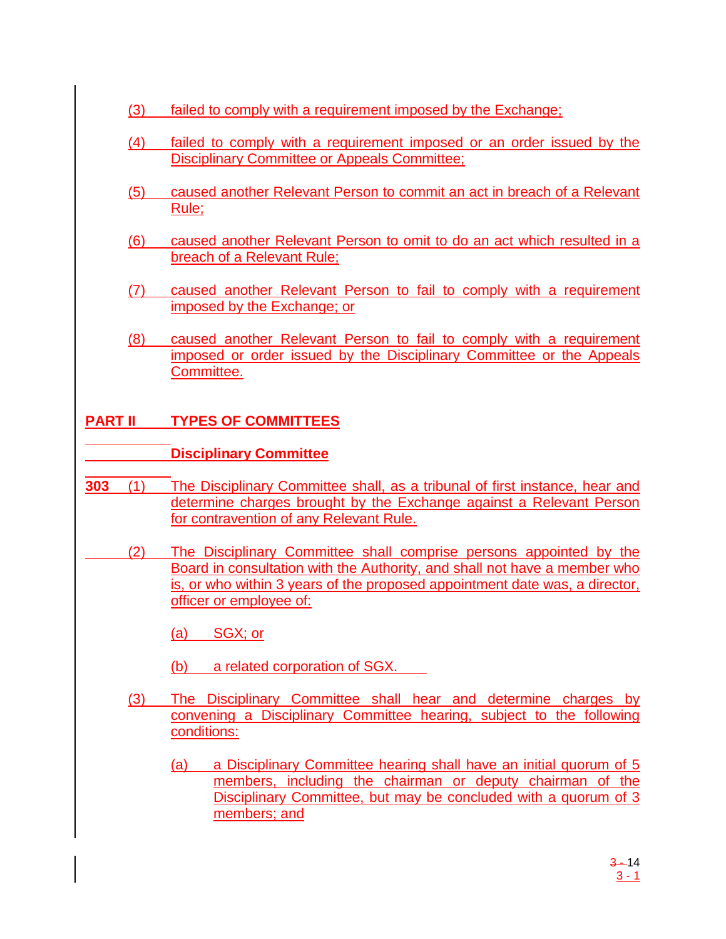- (3) failed to comply with a requirement imposed by the Exchange;
- (4) failed to comply with a requirement imposed or an order issued by the Disciplinary Committee or Appeals Committee;
- (5) caused another Relevant Person to commit an act in breach of a Relevant Rule;
- (6) caused another Relevant Person to omit to do an act which resulted in a breach of a Relevant Rule;
- (7) caused another Relevant Person to fail to comply with a requirement imposed by the Exchange; or
- (8) caused another Relevant Person to fail to comply with a requirement imposed or order issued by the Disciplinary Committee or the Appeals Committee.

# **PART II TYPES OF COMMITTEES**

## **Disciplinary Committee**

- **303** (1) The Disciplinary Committee shall, as a tribunal of first instance, hear and determine charges brought by the Exchange against a Relevant Person for contravention of any Relevant Rule.
- (2) The Disciplinary Committee shall comprise persons appointed by the Board in consultation with the Authority, and shall not have a member who is, or who within 3 years of the proposed appointment date was, a director, officer or employee of:

(a) SGX; or

- (b) a related corporation of SGX.
- (3) The Disciplinary Committee shall hear and determine charges by convening a Disciplinary Committee hearing, subject to the following conditions:
	- (a) a Disciplinary Committee hearing shall have an initial quorum of 5 members, including the chairman or deputy chairman of the Disciplinary Committee, but may be concluded with a quorum of 3 members; and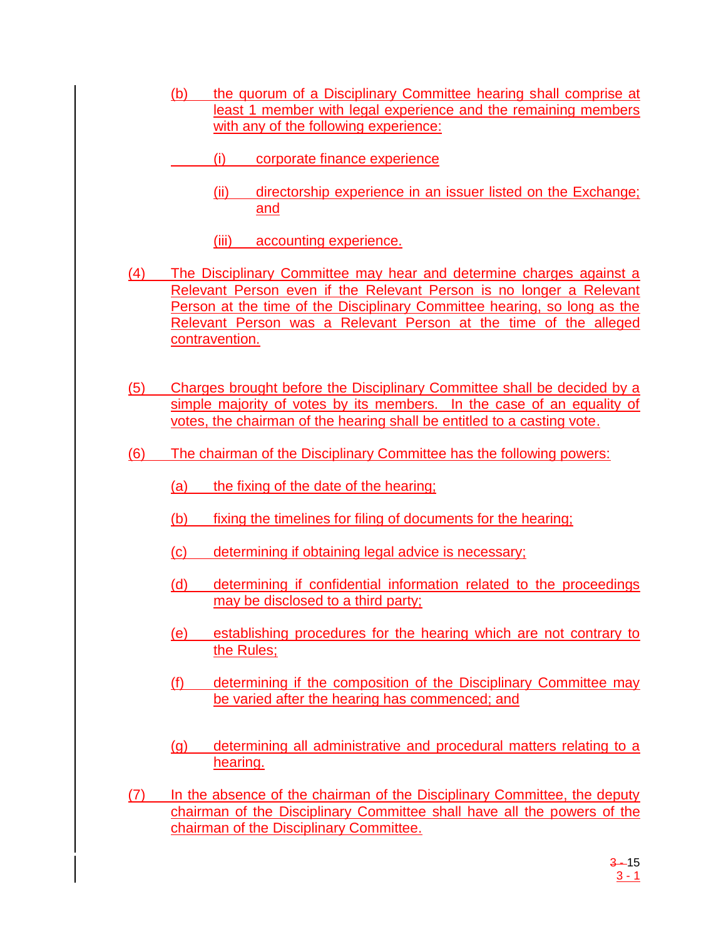- (b) the quorum of a Disciplinary Committee hearing shall comprise at least 1 member with legal experience and the remaining members with any of the following experience:
	- (i) corporate finance experience
		- (ii) directorship experience in an issuer listed on the Exchange; and
		- (iii) accounting experience.
- (4) The Disciplinary Committee may hear and determine charges against a Relevant Person even if the Relevant Person is no longer a Relevant Person at the time of the Disciplinary Committee hearing, so long as the Relevant Person was a Relevant Person at the time of the alleged contravention.
- (5) Charges brought before the Disciplinary Committee shall be decided by a simple majority of votes by its members. In the case of an equality of votes, the chairman of the hearing shall be entitled to a casting vote.
- (6) The chairman of the Disciplinary Committee has the following powers:
	- (a) the fixing of the date of the hearing;
	- (b) fixing the timelines for filing of documents for the hearing;
	- (c) determining if obtaining legal advice is necessary;
	- (d) determining if confidential information related to the proceedings may be disclosed to a third party;
	- (e) establishing procedures for the hearing which are not contrary to the Rules;
	- (f) determining if the composition of the Disciplinary Committee may be varied after the hearing has commenced; and
	- (g) determining all administrative and procedural matters relating to a hearing.
- (7) In the absence of the chairman of the Disciplinary Committee, the deputy chairman of the Disciplinary Committee shall have all the powers of the chairman of the Disciplinary Committee.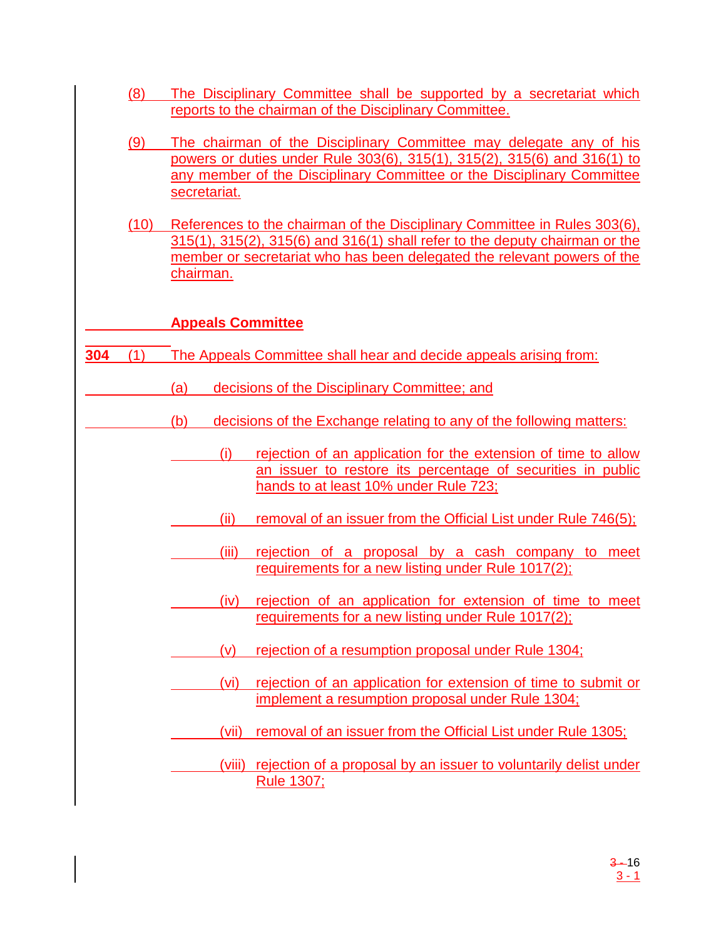- (8) The Disciplinary Committee shall be supported by a secretariat which reports to the chairman of the Disciplinary Committee.
- (9) The chairman of the Disciplinary Committee may delegate any of his powers or duties under Rule 303(6), 315(1), 315(2), 315(6) and 316(1) to any member of the Disciplinary Committee or the Disciplinary Committee secretariat.
- (10) References to the chairman of the Disciplinary Committee in Rules 303(6), 315(1), 315(2), 315(6) and 316(1) shall refer to the deputy chairman or the member or secretariat who has been delegated the relevant powers of the chairman.

## **Appeals Committee**

- **304** (1) The Appeals Committee shall hear and decide appeals arising from:
	- (a) decisions of the Disciplinary Committee; and
		- (b) decisions of the Exchange relating to any of the following matters:
			- (i) rejection of an application for the extension of time to allow an issuer to restore its percentage of securities in public hands to at least 10% under Rule 723;
			- (ii) removal of an issuer from the Official List under Rule 746(5);
			- (iii) rejection of a proposal by a cash company to meet requirements for a new listing under Rule 1017(2);
				- (iv) rejection of an application for extension of time to meet requirements for a new listing under Rule 1017(2);
			- (v) rejection of a resumption proposal under Rule 1304;
			- (vi) rejection of an application for extension of time to submit or implement a resumption proposal under Rule 1304;
			- (vii) removal of an issuer from the Official List under Rule 1305;
			- (viii) rejection of a proposal by an issuer to voluntarily delist under Rule 1307;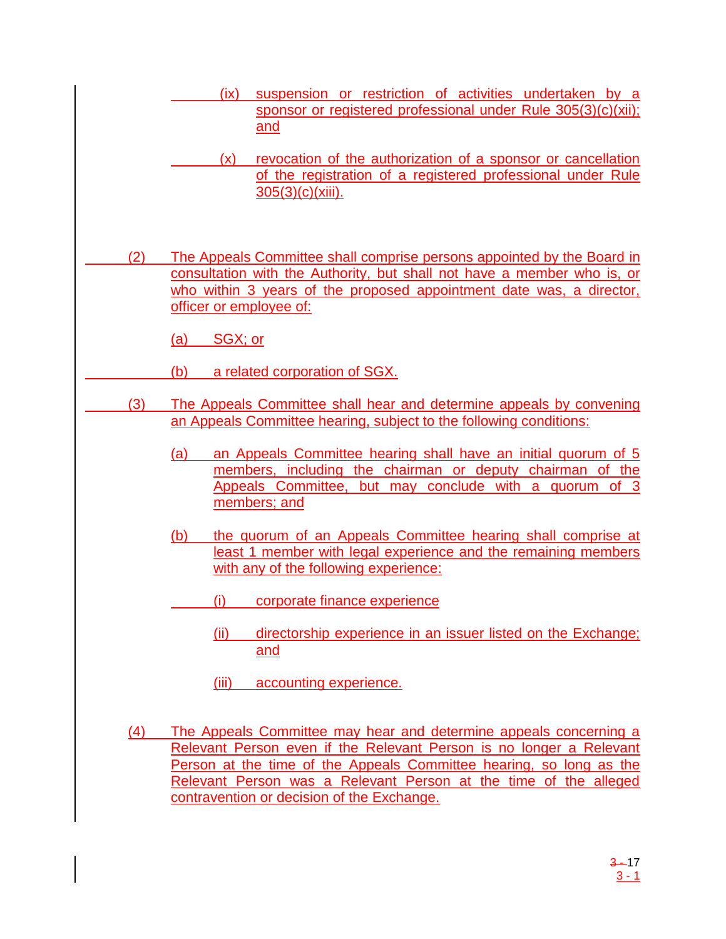- (ix) suspension or restriction of activities undertaken by a sponsor or registered professional under Rule 305(3)(c)(xii); and
- (x) revocation of the authorization of a sponsor or cancellation of the registration of a registered professional under Rule 305(3)(c)(xiii).
- (2) The Appeals Committee shall comprise persons appointed by the Board in consultation with the Authority, but shall not have a member who is, or who within 3 years of the proposed appointment date was, a director, officer or employee of:
	- (a) SGX; or
- (b) a related corporation of SGX.
	- (3) The Appeals Committee shall hear and determine appeals by convening an Appeals Committee hearing, subject to the following conditions:
		- (a) an Appeals Committee hearing shall have an initial quorum of 5 members, including the chairman or deputy chairman of the Appeals Committee, but may conclude with a quorum of 3 members; and
		- (b) the quorum of an Appeals Committee hearing shall comprise at least 1 member with legal experience and the remaining members with any of the following experience:
			- (i) corporate finance experience
				- (ii) directorship experience in an issuer listed on the Exchange; and
				- (iii) accounting experience.
		- (4) The Appeals Committee may hear and determine appeals concerning a Relevant Person even if the Relevant Person is no longer a Relevant Person at the time of the Appeals Committee hearing, so long as the Relevant Person was a Relevant Person at the time of the alleged contravention or decision of the Exchange.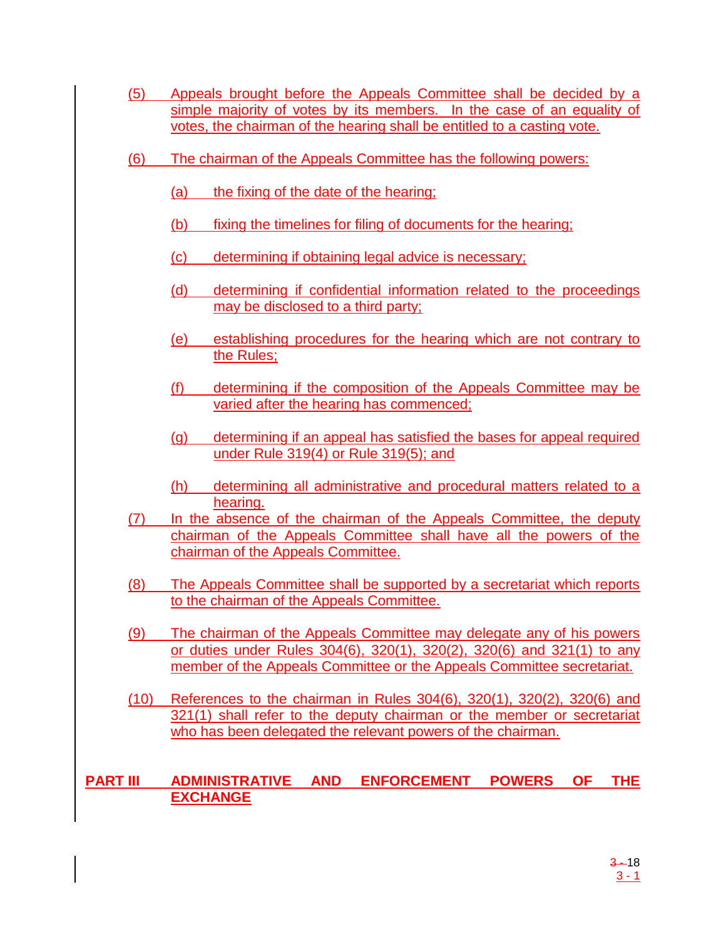- (5) Appeals brought before the Appeals Committee shall be decided by a simple majority of votes by its members. In the case of an equality of votes, the chairman of the hearing shall be entitled to a casting vote.
- (6) The chairman of the Appeals Committee has the following powers:
	- (a) the fixing of the date of the hearing;
	- (b) fixing the timelines for filing of documents for the hearing;
	- (c) determining if obtaining legal advice is necessary;
	- (d) determining if confidential information related to the proceedings may be disclosed to a third party;
	- (e) establishing procedures for the hearing which are not contrary to the Rules;
	- (f) determining if the composition of the Appeals Committee may be varied after the hearing has commenced;
	- (g) determining if an appeal has satisfied the bases for appeal required under Rule 319(4) or Rule 319(5); and
	- (h) determining all administrative and procedural matters related to a hearing.
- (7) In the absence of the chairman of the Appeals Committee, the deputy chairman of the Appeals Committee shall have all the powers of the chairman of the Appeals Committee.
- (8) The Appeals Committee shall be supported by a secretariat which reports to the chairman of the Appeals Committee.
- (9) The chairman of the Appeals Committee may delegate any of his powers or duties under Rules 304(6), 320(1), 320(2), 320(6) and 321(1) to any member of the Appeals Committee or the Appeals Committee secretariat.
- (10) References to the chairman in Rules 304(6), 320(1), 320(2), 320(6) and 321(1) shall refer to the deputy chairman or the member or secretariat who has been delegated the relevant powers of the chairman.

## **PART III ADMINISTRATIVE AND ENFORCEMENT POWERS OF THE EXCHANGE**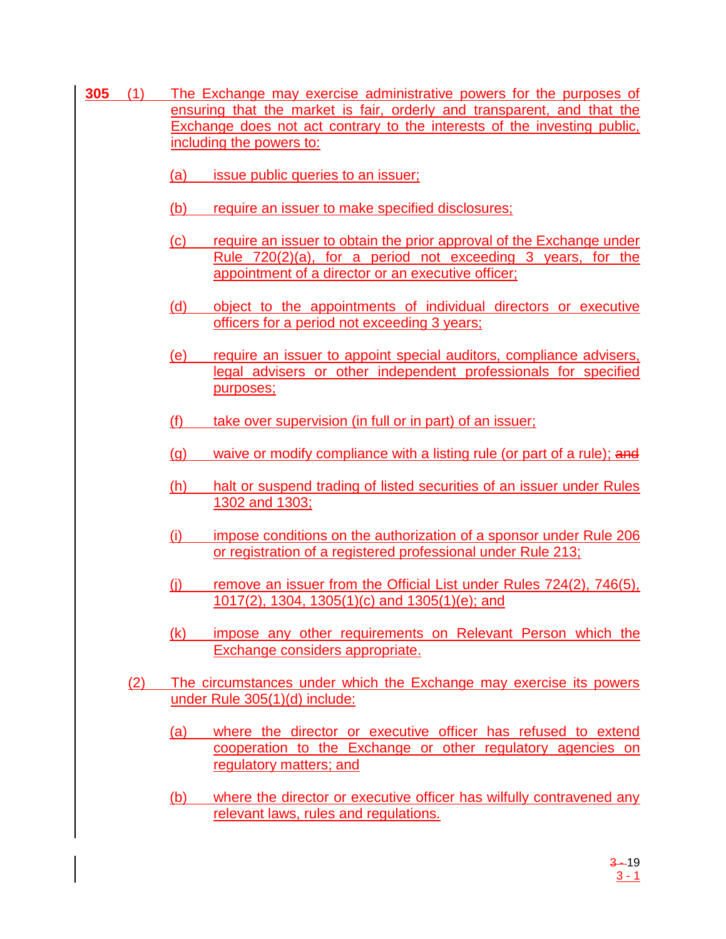- **305** (1) The Exchange may exercise administrative powers for the purposes of ensuring that the market is fair, orderly and transparent, and that the Exchange does not act contrary to the interests of the investing public, including the powers to:
	- (a) issue public queries to an issuer;
	- (b) require an issuer to make specified disclosures;
	- (c) require an issuer to obtain the prior approval of the Exchange under Rule 720(2)(a), for a period not exceeding 3 years, for the appointment of a director or an executive officer;
	- (d) object to the appointments of individual directors or executive officers for a period not exceeding 3 years;
	- (e) require an issuer to appoint special auditors, compliance advisers, legal advisers or other independent professionals for specified purposes;
	- (f) take over supervision (in full or in part) of an issuer;
	- $(q)$  waive or modify compliance with a listing rule (or part of a rule); and
	- (h) halt or suspend trading of listed securities of an issuer under Rules 1302 and 1303;
	- (i) impose conditions on the authorization of a sponsor under Rule 206 or registration of a registered professional under Rule 213;
	- (i) remove an issuer from the Official List under Rules  $724(2)$ ,  $746(5)$ , 1017(2), 1304, 1305(1)(c) and 1305(1)(e); and
	- (k) impose any other requirements on Relevant Person which the Exchange considers appropriate.
	- (2) The circumstances under which the Exchange may exercise its powers under Rule 305(1)(d) include:
		- (a) where the director or executive officer has refused to extend cooperation to the Exchange or other regulatory agencies on regulatory matters; and
		- (b) where the director or executive officer has wilfully contravened any relevant laws, rules and regulations.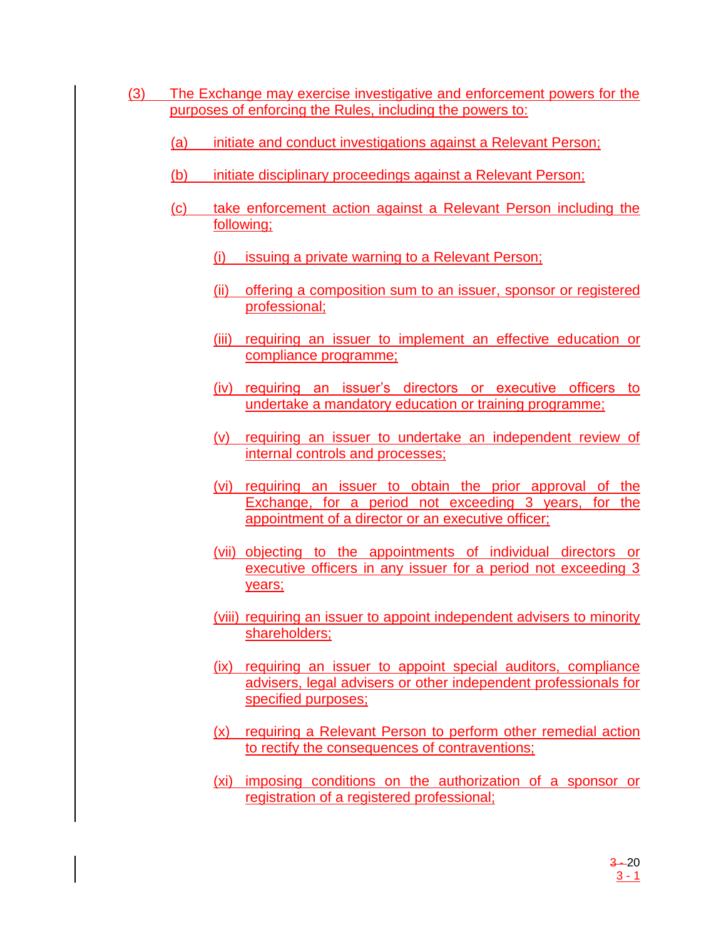- (3) The Exchange may exercise investigative and enforcement powers for the purposes of enforcing the Rules, including the powers to:
	- (a) initiate and conduct investigations against a Relevant Person;
	- (b) initiate disciplinary proceedings against a Relevant Person;
	- (c) take enforcement action against a Relevant Person including the following;
		- (i) issuing a private warning to a Relevant Person;
		- (ii) offering a composition sum to an issuer, sponsor or registered professional;
		- (iii) requiring an issuer to implement an effective education or compliance programme;
		- (iv) requiring an issuer's directors or executive officers to undertake a mandatory education or training programme;
		- (v) requiring an issuer to undertake an independent review of internal controls and processes;
		- (vi) requiring an issuer to obtain the prior approval of the Exchange, for a period not exceeding 3 years, for the appointment of a director or an executive officer;
		- (vii) objecting to the appointments of individual directors or executive officers in any issuer for a period not exceeding 3 years;
		- (viii) requiring an issuer to appoint independent advisers to minority shareholders;
		- (ix) requiring an issuer to appoint special auditors, compliance advisers, legal advisers or other independent professionals for specified purposes;
		- (x) requiring a Relevant Person to perform other remedial action to rectify the consequences of contraventions;
		- (xi) imposing conditions on the authorization of a sponsor or registration of a registered professional;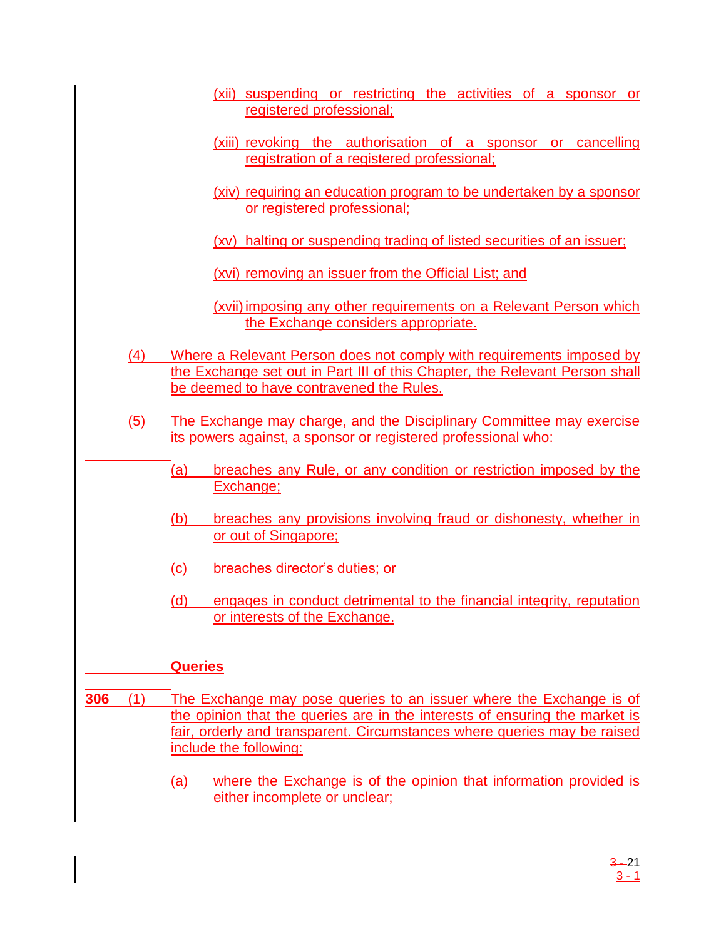- (xii) suspending or restricting the activities of a sponsor or registered professional;
- (xiii) revoking the authorisation of a sponsor or cancelling registration of a registered professional;
- (xiv) requiring an education program to be undertaken by a sponsor or registered professional;

(xv) halting or suspending trading of listed securities of an issuer;

(xvi) removing an issuer from the Official List; and

(xvii) imposing any other requirements on a Relevant Person which the Exchange considers appropriate.

- (4) Where a Relevant Person does not comply with requirements imposed by the Exchange set out in Part III of this Chapter, the Relevant Person shall be deemed to have contravened the Rules.
- (5) The Exchange may charge, and the Disciplinary Committee may exercise its powers against, a sponsor or registered professional who:
	- (a) breaches any Rule, or any condition or restriction imposed by the Exchange;
	- (b) breaches any provisions involving fraud or dishonesty, whether in or out of Singapore;
	- (c) breaches director's duties; or
	- (d) engages in conduct detrimental to the financial integrity, reputation or interests of the Exchange.

## **Queries**

- **306** (1) The Exchange may pose queries to an issuer where the Exchange is of the opinion that the queries are in the interests of ensuring the market is fair, orderly and transparent. Circumstances where queries may be raised include the following:
	- (a) where the Exchange is of the opinion that information provided is either incomplete or unclear;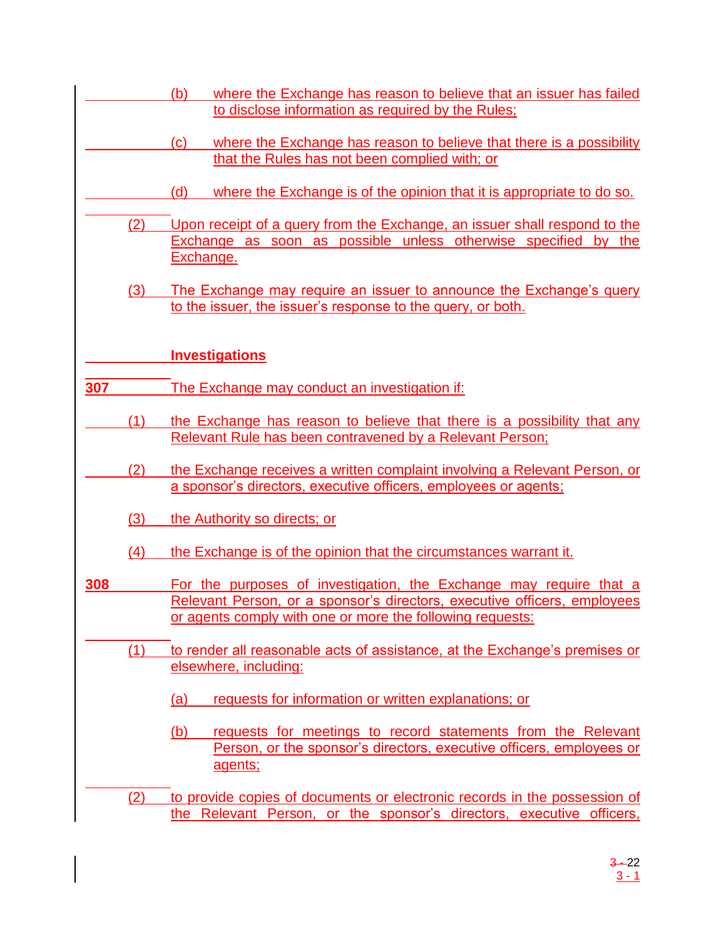- (b) where the Exchange has reason to believe that an issuer has failed to disclose information as required by the Rules;
- (c) where the Exchange has reason to believe that there is a possibility that the Rules has not been complied with; or
- (d) where the Exchange is of the opinion that it is appropriate to do so.
- (2) Upon receipt of a query from the Exchange, an issuer shall respond to the Exchange as soon as possible unless otherwise specified by the Exchange.
	- (3) The Exchange may require an issuer to announce the Exchange's query to the issuer, the issuer's response to the query, or both.

## **Investigations**

- **307** The Exchange may conduct an investigation if:
	- (1) the Exchange has reason to believe that there is a possibility that any Relevant Rule has been contravened by a Relevant Person;
	- (2) the Exchange receives a written complaint involving a Relevant Person, or a sponsor's directors, executive officers, employees or agents;
		- (3) the Authority so directs; or
		- (4) the Exchange is of the opinion that the circumstances warrant it.
- **308** For the purposes of investigation, the Exchange may require that a Relevant Person, or a sponsor's directors, executive officers, employees or agents comply with one or more the following requests:
	- (1) to render all reasonable acts of assistance, at the Exchange's premises or elsewhere, including:
		- (a) requests for information or written explanations; or
		- (b) requests for meetings to record statements from the Relevant Person, or the sponsor's directors, executive officers, employees or agents;
	- (2) to provide copies of documents or electronic records in the possession of the Relevant Person, or the sponsor's directors, executive officers,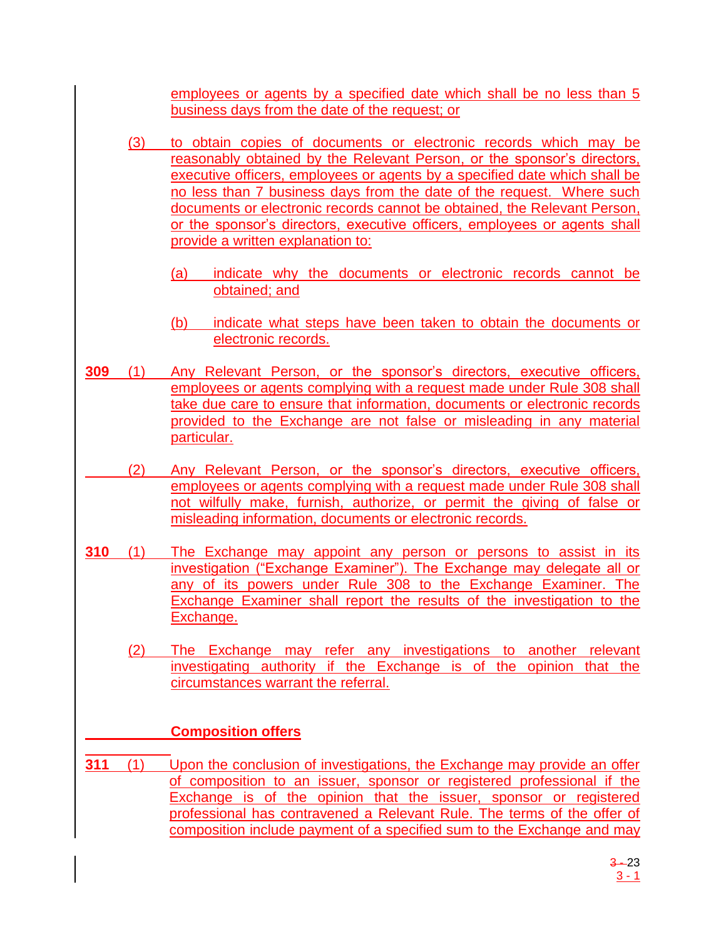employees or agents by a specified date which shall be no less than 5 business days from the date of the request; or

- (3) to obtain copies of documents or electronic records which may be reasonably obtained by the Relevant Person, or the sponsor's directors, executive officers, employees or agents by a specified date which shall be no less than 7 business days from the date of the request. Where such documents or electronic records cannot be obtained, the Relevant Person, or the sponsor's directors, executive officers, employees or agents shall provide a written explanation to:
	- (a) indicate why the documents or electronic records cannot be obtained; and
	- (b) indicate what steps have been taken to obtain the documents or electronic records.
- **309** (1) Any Relevant Person, or the sponsor's directors, executive officers, employees or agents complying with a request made under Rule 308 shall take due care to ensure that information, documents or electronic records provided to the Exchange are not false or misleading in any material particular.
	- (2) Any Relevant Person, or the sponsor's directors, executive officers, employees or agents complying with a request made under Rule 308 shall not wilfully make, furnish, authorize, or permit the giving of false or misleading information, documents or electronic records.
- **310** (1) The Exchange may appoint any person or persons to assist in its investigation ("Exchange Examiner"). The Exchange may delegate all or any of its powers under Rule 308 to the Exchange Examiner. The Exchange Examiner shall report the results of the investigation to the Exchange.
	- (2) The Exchange may refer any investigations to another relevant investigating authority if the Exchange is of the opinion that the circumstances warrant the referral.

# **Composition offers**

**311** (1) Upon the conclusion of investigations, the Exchange may provide an offer of composition to an issuer, sponsor or registered professional if the Exchange is of the opinion that the issuer, sponsor or registered professional has contravened a Relevant Rule. The terms of the offer of composition include payment of a specified sum to the Exchange and may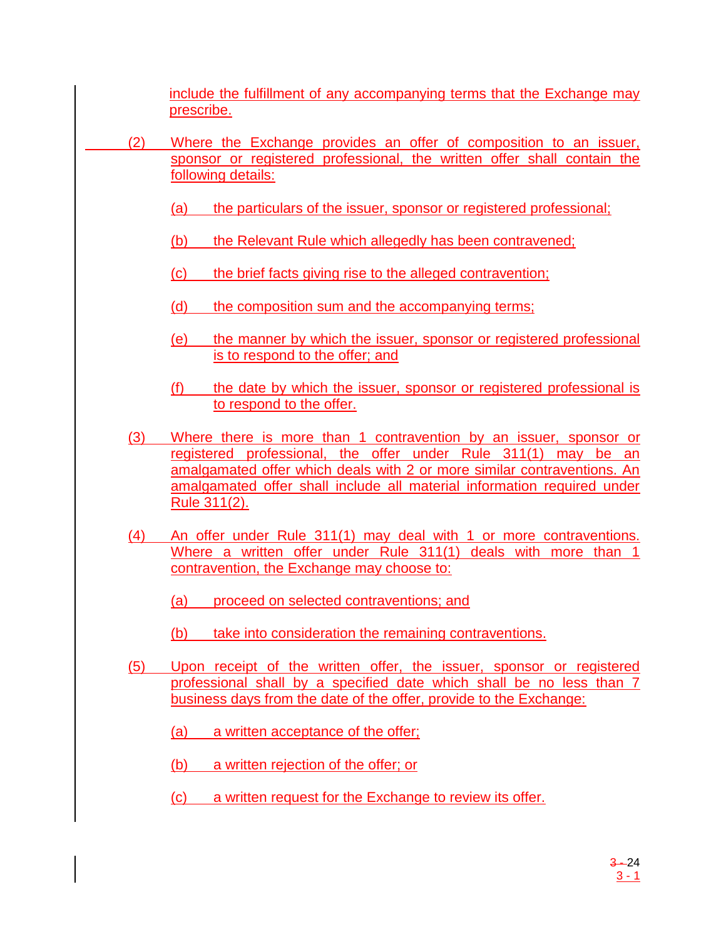include the fulfillment of any accompanying terms that the Exchange may prescribe.

- (2) Where the Exchange provides an offer of composition to an issuer, sponsor or registered professional, the written offer shall contain the following details:
	- (a) the particulars of the issuer, sponsor or registered professional;
	- (b) the Relevant Rule which allegedly has been contravened;
	- (c) the brief facts giving rise to the alleged contravention;
	- (d) the composition sum and the accompanying terms;
	- (e) the manner by which the issuer, sponsor or registered professional is to respond to the offer; and
	- (f) the date by which the issuer, sponsor or registered professional is to respond to the offer.
	- (3) Where there is more than 1 contravention by an issuer, sponsor or registered professional, the offer under Rule 311(1) may be an amalgamated offer which deals with 2 or more similar contraventions. An amalgamated offer shall include all material information required under Rule 311(2).
	- (4) An offer under Rule 311(1) may deal with 1 or more contraventions. Where a written offer under Rule 311(1) deals with more than 1 contravention, the Exchange may choose to:
		- (a) proceed on selected contraventions; and
		- (b) take into consideration the remaining contraventions.
	- (5) Upon receipt of the written offer, the issuer, sponsor or registered professional shall by a specified date which shall be no less than 7 business days from the date of the offer, provide to the Exchange:
		- (a) a written acceptance of the offer;
		- (b) a written rejection of the offer; or
		- (c) a written request for the Exchange to review its offer.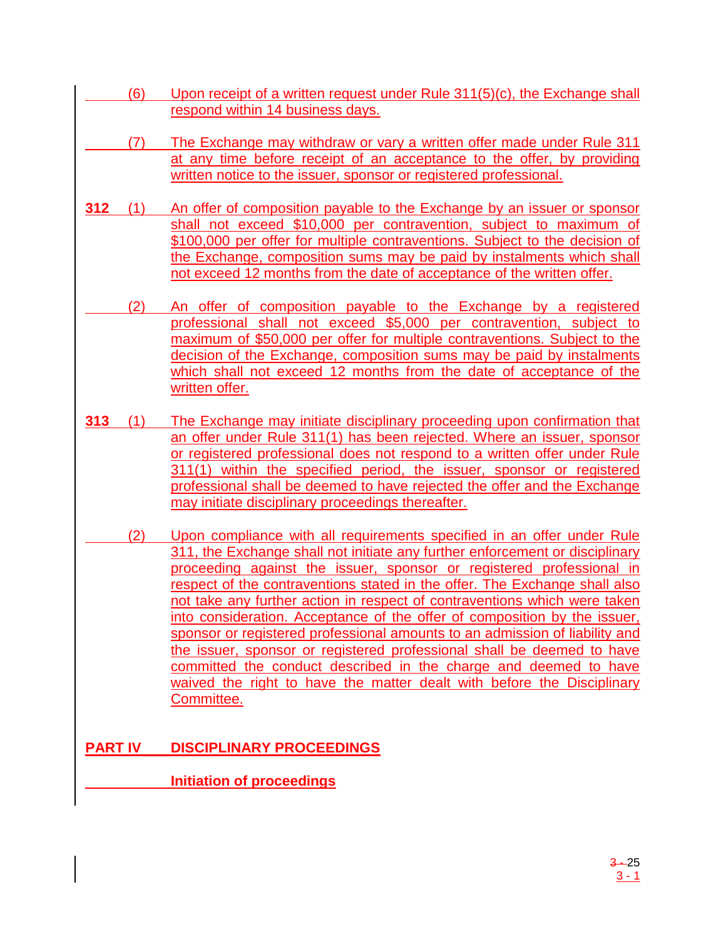- $(6)$  Upon receipt of a written request under Rule 311(5)(c), the Exchange shall respond within 14 business days.
- (7) The Exchange may withdraw or vary a written offer made under Rule 311 at any time before receipt of an acceptance to the offer, by providing written notice to the issuer, sponsor or registered professional.
- **312** (1) An offer of composition payable to the Exchange by an issuer or sponsor shall not exceed \$10,000 per contravention, subject to maximum of \$100,000 per offer for multiple contraventions. Subject to the decision of the Exchange, composition sums may be paid by instalments which shall not exceed 12 months from the date of acceptance of the written offer.
- (2) An offer of composition payable to the Exchange by a registered professional shall not exceed \$5,000 per contravention, subject to maximum of \$50,000 per offer for multiple contraventions. Subject to the decision of the Exchange, composition sums may be paid by instalments which shall not exceed 12 months from the date of acceptance of the written offer.
- **313** (1) The Exchange may initiate disciplinary proceeding upon confirmation that an offer under Rule 311(1) has been rejected. Where an issuer, sponsor or registered professional does not respond to a written offer under Rule 311(1) within the specified period, the issuer, sponsor or registered professional shall be deemed to have rejected the offer and the Exchange may initiate disciplinary proceedings thereafter.
- (2) Upon compliance with all requirements specified in an offer under Rule 311, the Exchange shall not initiate any further enforcement or disciplinary proceeding against the issuer, sponsor or registered professional in respect of the contraventions stated in the offer. The Exchange shall also not take any further action in respect of contraventions which were taken into consideration. Acceptance of the offer of composition by the issuer, sponsor or registered professional amounts to an admission of liability and the issuer, sponsor or registered professional shall be deemed to have committed the conduct described in the charge and deemed to have waived the right to have the matter dealt with before the Disciplinary Committee.

# **PART IV DISCIPLINARY PROCEEDINGS**

**Initiation of proceedings**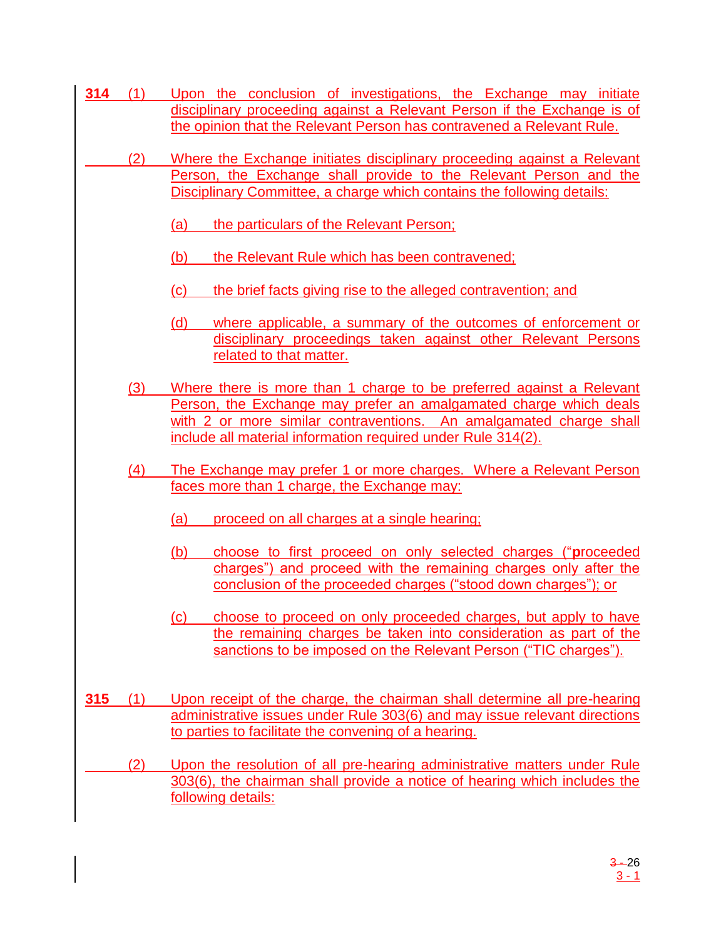- **314** (1) Upon the conclusion of investigations, the Exchange may initiate disciplinary proceeding against a Relevant Person if the Exchange is of the opinion that the Relevant Person has contravened a Relevant Rule.
	- (2) Where the Exchange initiates disciplinary proceeding against a Relevant Person, the Exchange shall provide to the Relevant Person and the Disciplinary Committee, a charge which contains the following details:
		- (a) the particulars of the Relevant Person;
		- (b) the Relevant Rule which has been contravened;
		- (c) the brief facts giving rise to the alleged contravention; and
		- (d) where applicable, a summary of the outcomes of enforcement or disciplinary proceedings taken against other Relevant Persons related to that matter.
		- (3) Where there is more than 1 charge to be preferred against a Relevant Person, the Exchange may prefer an amalgamated charge which deals with 2 or more similar contraventions. An amalgamated charge shall include all material information required under Rule 314(2).
		- (4) The Exchange may prefer 1 or more charges. Where a Relevant Person faces more than 1 charge, the Exchange may:
			- (a) proceed on all charges at a single hearing;
			- (b) choose to first proceed on only selected charges ("**p**roceeded charges") and proceed with the remaining charges only after the conclusion of the proceeded charges ("stood down charges"); or
			- (c) choose to proceed on only proceeded charges, but apply to have the remaining charges be taken into consideration as part of the sanctions to be imposed on the Relevant Person ("TIC charges").
- **315** (1) Upon receipt of the charge, the chairman shall determine all pre-hearing administrative issues under Rule 303(6) and may issue relevant directions to parties to facilitate the convening of a hearing.
	- (2) Upon the resolution of all pre-hearing administrative matters under Rule 303(6), the chairman shall provide a notice of hearing which includes the following details: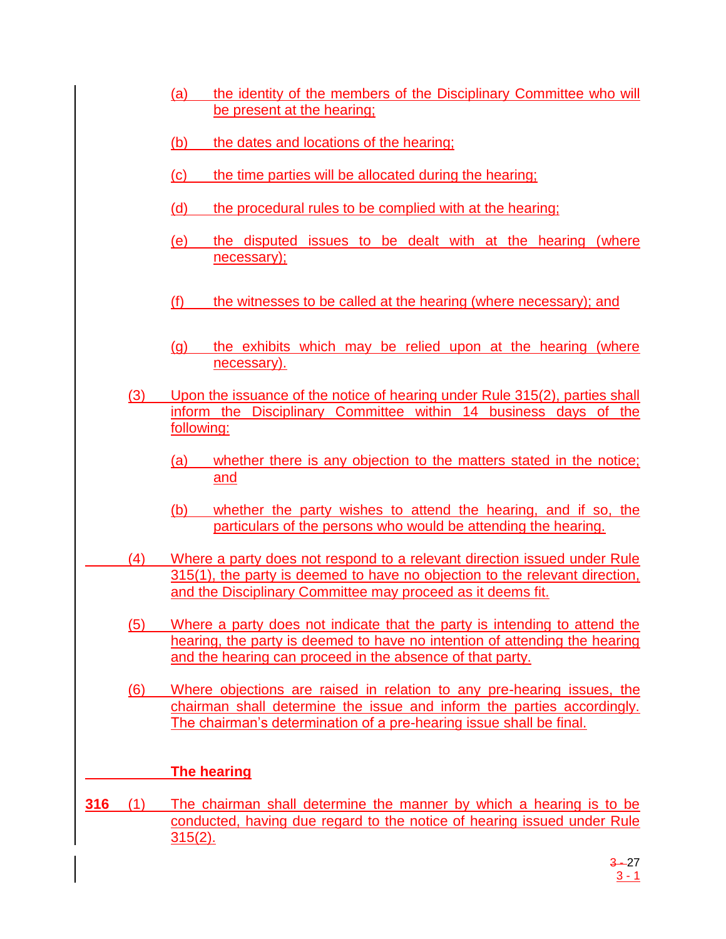- (a) the identity of the members of the Disciplinary Committee who will be present at the hearing;
- (b) the dates and locations of the hearing;
- (c) the time parties will be allocated during the hearing;
- (d) the procedural rules to be complied with at the hearing;
- (e) the disputed issues to be dealt with at the hearing (where necessary);
- (f) the witnesses to be called at the hearing (where necessary); and
- (g) the exhibits which may be relied upon at the hearing (where necessary).
- (3) Upon the issuance of the notice of hearing under Rule 315(2), parties shall inform the Disciplinary Committee within 14 business days of the following:
	- (a) whether there is any objection to the matters stated in the notice; and
	- (b) whether the party wishes to attend the hearing, and if so, the particulars of the persons who would be attending the hearing.
- (4) Where a party does not respond to a relevant direction issued under Rule 315(1), the party is deemed to have no objection to the relevant direction, and the Disciplinary Committee may proceed as it deems fit.
	- (5) Where a party does not indicate that the party is intending to attend the hearing, the party is deemed to have no intention of attending the hearing and the hearing can proceed in the absence of that party.
	- (6) Where objections are raised in relation to any pre-hearing issues, the chairman shall determine the issue and inform the parties accordingly. The chairman's determination of a pre-hearing issue shall be final.

## **The hearing**

**316** (1) The chairman shall determine the manner by which a hearing is to be conducted, having due regard to the notice of hearing issued under Rule 315(2).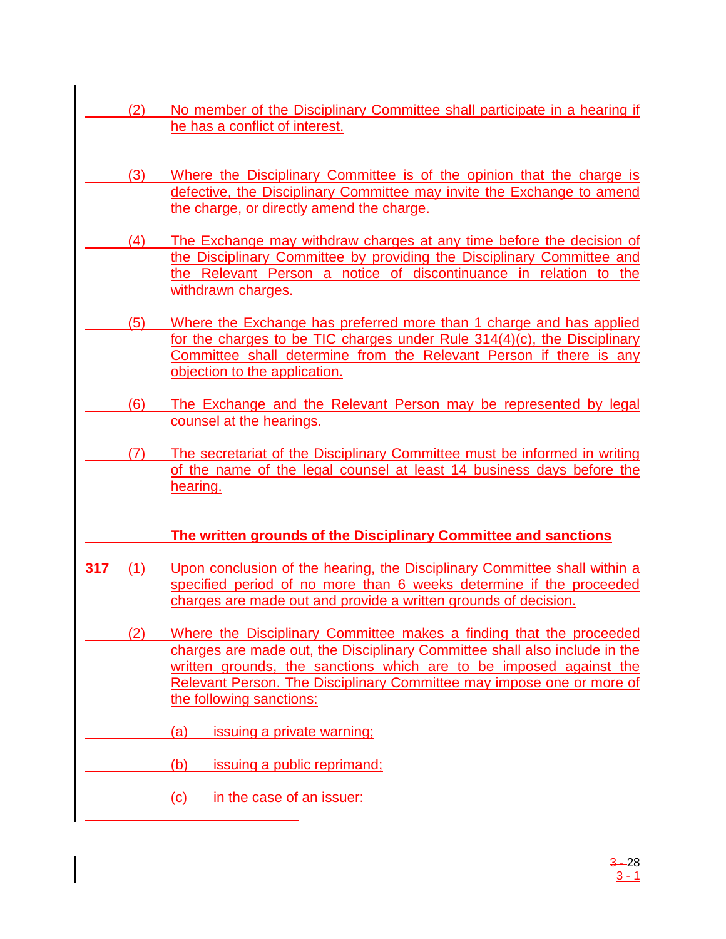- (2) No member of the Disciplinary Committee shall participate in a hearing if he has a conflict of interest.
	- (3) Where the Disciplinary Committee is of the opinion that the charge is defective, the Disciplinary Committee may invite the Exchange to amend the charge, or directly amend the charge.
- (4) The Exchange may withdraw charges at any time before the decision of the Disciplinary Committee by providing the Disciplinary Committee and the Relevant Person a notice of discontinuance in relation to the withdrawn charges.
- (5) Where the Exchange has preferred more than 1 charge and has applied for the charges to be TIC charges under Rule 314(4)(c), the Disciplinary Committee shall determine from the Relevant Person if there is any objection to the application.
	- (6) The Exchange and the Relevant Person may be represented by legal counsel at the hearings.
- (7) The secretariat of the Disciplinary Committee must be informed in writing of the name of the legal counsel at least 14 business days before the hearing.

# **The written grounds of the Disciplinary Committee and sanctions**

- **317** (1) Upon conclusion of the hearing, the Disciplinary Committee shall within a specified period of no more than 6 weeks determine if the proceeded charges are made out and provide a written grounds of decision.
- (2) Where the Disciplinary Committee makes a finding that the proceeded charges are made out, the Disciplinary Committee shall also include in the written grounds, the sanctions which are to be imposed against the Relevant Person. The Disciplinary Committee may impose one or more of the following sanctions:
- (a) issuing a private warning;
	- (b) issuing a public reprimand;
		- (c) in the case of an issuer: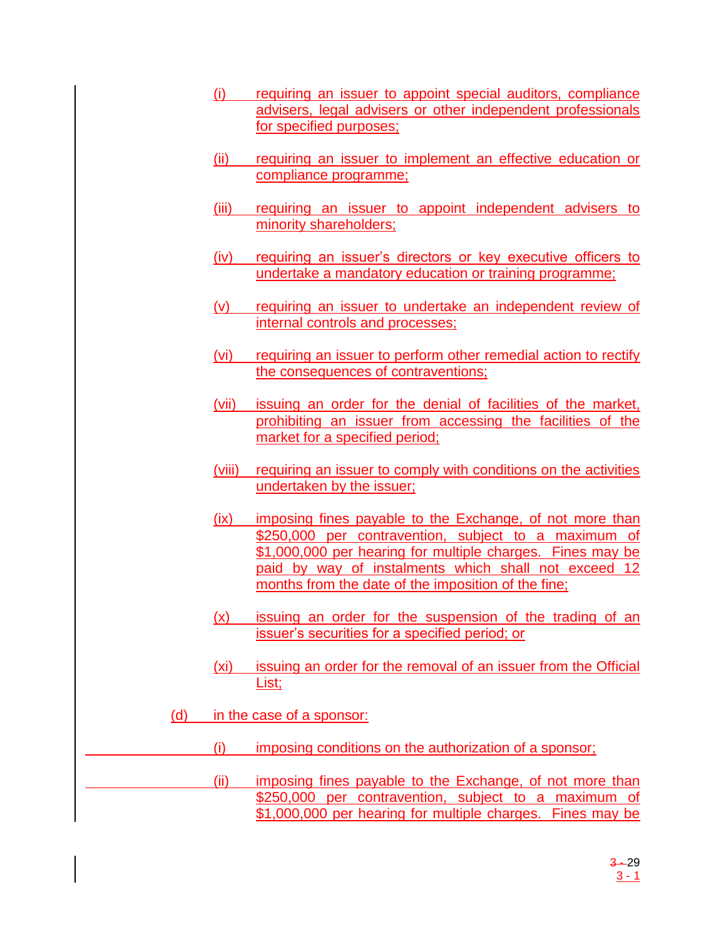- (i) requiring an issuer to appoint special auditors, compliance advisers, legal advisers or other independent professionals for specified purposes;
- (ii) requiring an issuer to implement an effective education or compliance programme;
- (iii) requiring an issuer to appoint independent advisers to minority shareholders;
- (iv) requiring an issuer's directors or key executive officers to undertake a mandatory education or training programme;
- (v) requiring an issuer to undertake an independent review of internal controls and processes;
- (vi) requiring an issuer to perform other remedial action to rectify the consequences of contraventions;
- (vii) issuing an order for the denial of facilities of the market, prohibiting an issuer from accessing the facilities of the market for a specified period;
- (viii) requiring an issuer to comply with conditions on the activities undertaken by the issuer;
- (ix) imposing fines payable to the Exchange, of not more than \$250,000 per contravention, subject to a maximum of \$1,000,000 per hearing for multiple charges. Fines may be paid by way of instalments which shall not exceed 12 months from the date of the imposition of the fine;
- (x) issuing an order for the suspension of the trading of an issuer's securities for a specified period; or
- (xi) issuing an order for the removal of an issuer from the Official List;
- (d) in the case of a sponsor:
	- (i) imposing conditions on the authorization of a sponsor;
	- (ii) imposing fines payable to the Exchange, of not more than \$250,000 per contravention, subject to a maximum of \$1,000,000 per hearing for multiple charges. Fines may be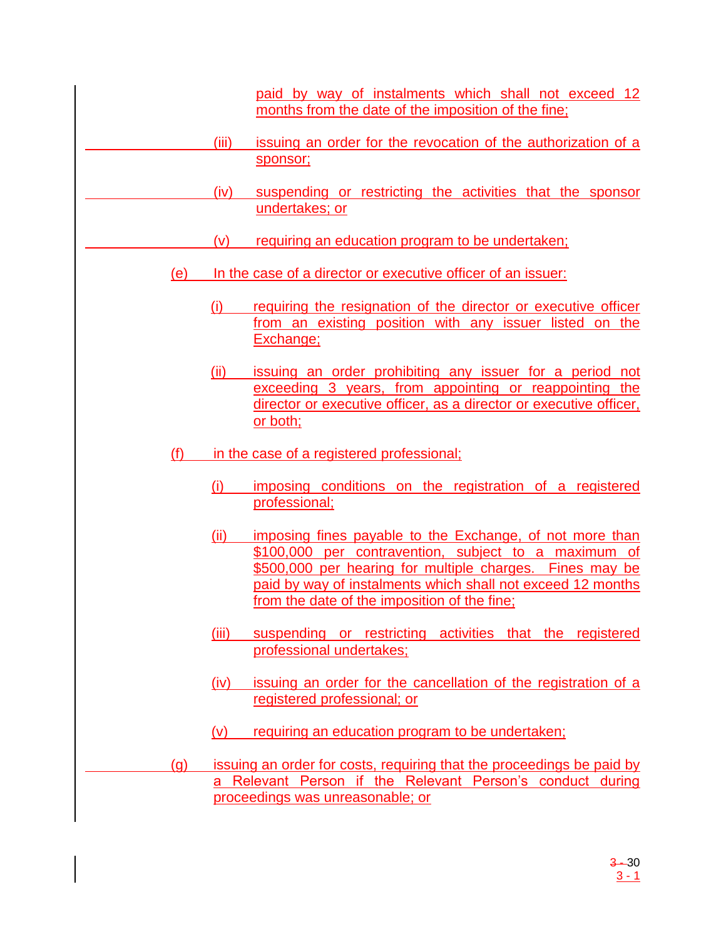paid by way of instalments which shall not exceed 12 months from the date of the imposition of the fine;

- (iii) issuing an order for the revocation of the authorization of a sponsor;
- (iv) suspending or restricting the activities that the sponsor undertakes; or
- (v) requiring an education program to be undertaken;
- (e) In the case of a director or executive officer of an issuer:
	- (i) requiring the resignation of the director or executive officer from an existing position with any issuer listed on the Exchange;
	- (ii) issuing an order prohibiting any issuer for a period not exceeding 3 years, from appointing or reappointing the director or executive officer, as a director or executive officer, or both;
- (f) in the case of a registered professional;
	- (i) imposing conditions on the registration of a registered professional;
	- (ii) imposing fines payable to the Exchange, of not more than \$100,000 per contravention, subject to a maximum of \$500,000 per hearing for multiple charges. Fines may be paid by way of instalments which shall not exceed 12 months from the date of the imposition of the fine;
	- (iii) suspending or restricting activities that the registered professional undertakes;
	- (iv) issuing an order for the cancellation of the registration of a registered professional; or
	- (v) requiring an education program to be undertaken;
- (g) issuing an order for costs, requiring that the proceedings be paid by a Relevant Person if the Relevant Person's conduct during proceedings was unreasonable; or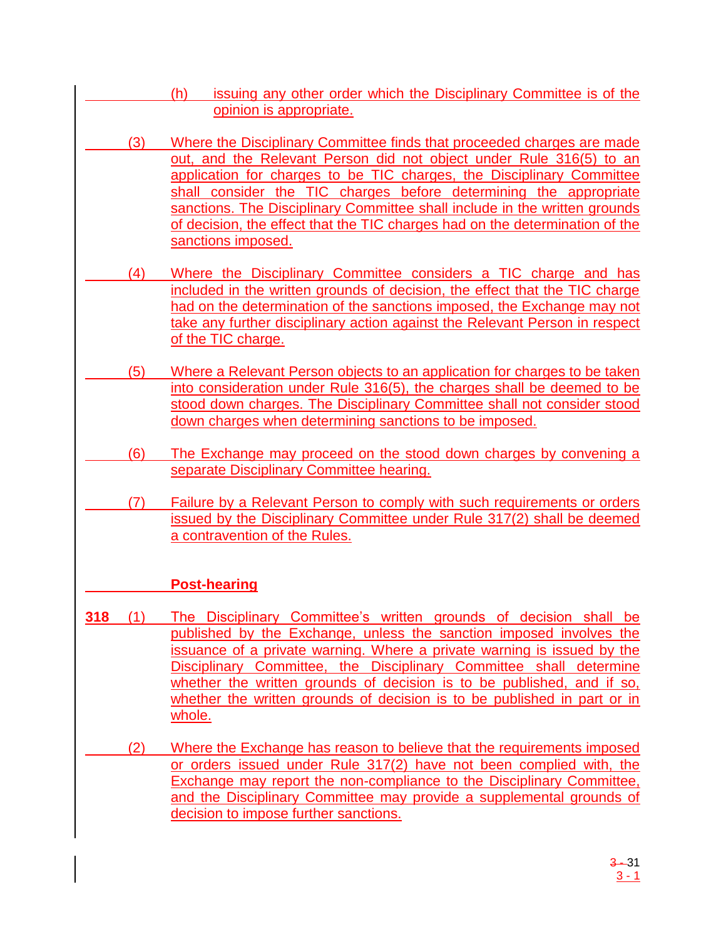- (h) issuing any other order which the Disciplinary Committee is of the opinion is appropriate.
- (3) Where the Disciplinary Committee finds that proceeded charges are made out, and the Relevant Person did not object under Rule 316(5) to an application for charges to be TIC charges, the Disciplinary Committee shall consider the TIC charges before determining the appropriate sanctions. The Disciplinary Committee shall include in the written grounds of decision, the effect that the TIC charges had on the determination of the sanctions imposed.
- (4) Where the Disciplinary Committee considers a TIC charge and has included in the written grounds of decision, the effect that the TIC charge had on the determination of the sanctions imposed, the Exchange may not take any further disciplinary action against the Relevant Person in respect of the TIC charge.
- (5) Where a Relevant Person objects to an application for charges to be taken into consideration under Rule 316(5), the charges shall be deemed to be stood down charges. The Disciplinary Committee shall not consider stood down charges when determining sanctions to be imposed.
	- (6) The Exchange may proceed on the stood down charges by convening a separate Disciplinary Committee hearing.
- (7) Failure by a Relevant Person to comply with such requirements or orders issued by the Disciplinary Committee under Rule 317(2) shall be deemed a contravention of the Rules.

# **Post-hearing**

- **318** (1) The Disciplinary Committee's written grounds of decision shall be published by the Exchange, unless the sanction imposed involves the issuance of a private warning. Where a private warning is issued by the Disciplinary Committee, the Disciplinary Committee shall determine whether the written grounds of decision is to be published, and if so, whether the written grounds of decision is to be published in part or in whole.
	- (2) Where the Exchange has reason to believe that the requirements imposed or orders issued under Rule 317(2) have not been complied with, the Exchange may report the non-compliance to the Disciplinary Committee, and the Disciplinary Committee may provide a supplemental grounds of decision to impose further sanctions.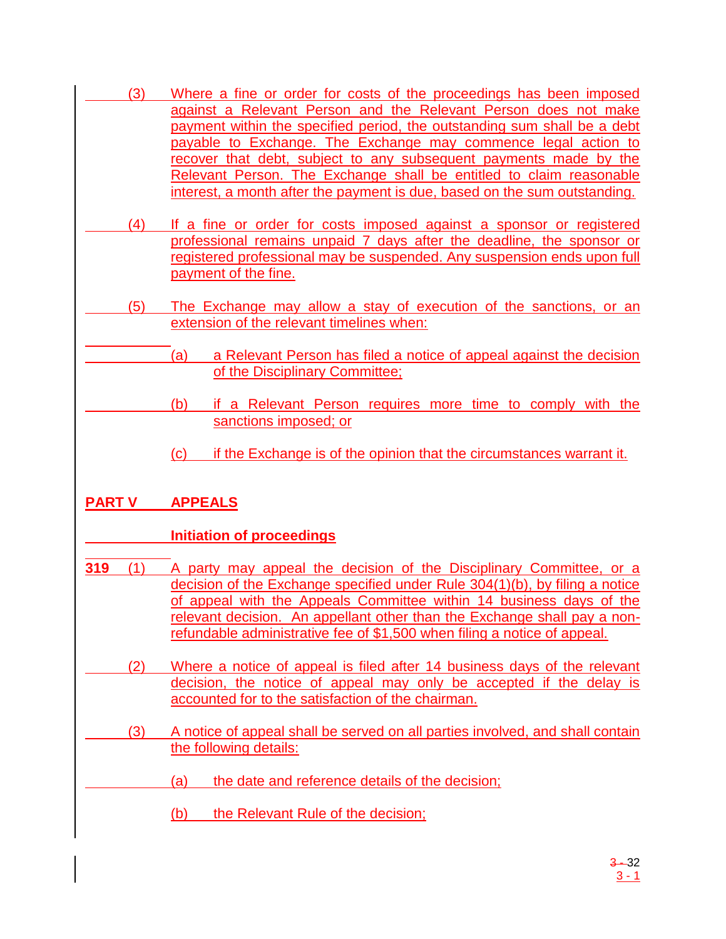- (3) Where a fine or order for costs of the proceedings has been imposed against a Relevant Person and the Relevant Person does not make payment within the specified period, the outstanding sum shall be a debt payable to Exchange. The Exchange may commence legal action to recover that debt, subject to any subsequent payments made by the Relevant Person. The Exchange shall be entitled to claim reasonable interest, a month after the payment is due, based on the sum outstanding.
	- (4) If a fine or order for costs imposed against a sponsor or registered professional remains unpaid 7 days after the deadline, the sponsor or registered professional may be suspended. Any suspension ends upon full payment of the fine.
	- (5) The Exchange may allow a stay of execution of the sanctions, or an extension of the relevant timelines when:
		- (a) a Relevant Person has filed a notice of appeal against the decision of the Disciplinary Committee;
			- (b) if a Relevant Person requires more time to comply with the sanctions imposed; or
			- (c) if the Exchange is of the opinion that the circumstances warrant it.

# **PART V APPEALS**

# **Initiation of proceedings**

- **319** (1) A party may appeal the decision of the Disciplinary Committee, or a decision of the Exchange specified under Rule 304(1)(b), by filing a notice of appeal with the Appeals Committee within 14 business days of the relevant decision. An appellant other than the Exchange shall pay a nonrefundable administrative fee of \$1,500 when filing a notice of appeal.
	- (2) Where a notice of appeal is filed after 14 business days of the relevant decision, the notice of appeal may only be accepted if the delay is accounted for to the satisfaction of the chairman.
		- (3) A notice of appeal shall be served on all parties involved, and shall contain the following details:
			- (a) the date and reference details of the decision;
				- (b) the Relevant Rule of the decision;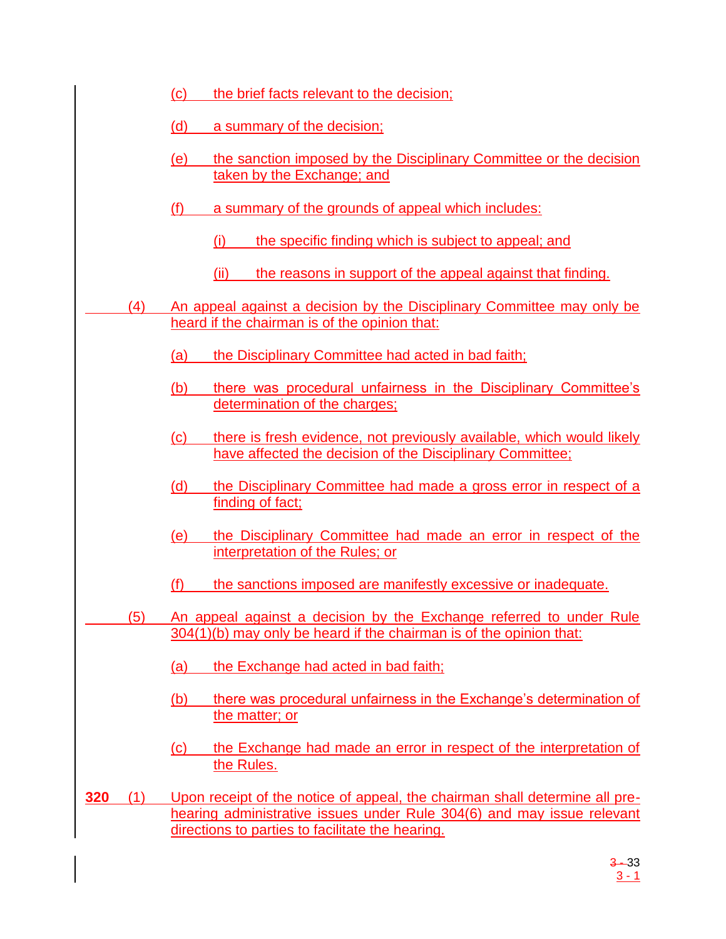|     |     | the brief facts relevant to the decision;<br>(c)                                                                                                                                                          |  |
|-----|-----|-----------------------------------------------------------------------------------------------------------------------------------------------------------------------------------------------------------|--|
|     |     | (d)<br>a summary of the decision;                                                                                                                                                                         |  |
|     |     | the sanction imposed by the Disciplinary Committee or the decision<br>(e)<br>taken by the Exchange; and                                                                                                   |  |
|     |     | (f)<br>a summary of the grounds of appeal which includes:                                                                                                                                                 |  |
|     |     | the specific finding which is subject to appeal; and<br>(i)                                                                                                                                               |  |
|     |     | the reasons in support of the appeal against that finding.<br>(ii)                                                                                                                                        |  |
|     | (4) | An appeal against a decision by the Disciplinary Committee may only be<br>heard if the chairman is of the opinion that:                                                                                   |  |
|     |     | the Disciplinary Committee had acted in bad faith;<br>(a)                                                                                                                                                 |  |
|     |     | there was procedural unfairness in the Disciplinary Committee's<br>(b)<br>determination of the charges;                                                                                                   |  |
|     |     | there is fresh evidence, not previously available, which would likely<br>(c)<br>have affected the decision of the Disciplinary Committee;                                                                 |  |
|     |     | the Disciplinary Committee had made a gross error in respect of a<br>(d)<br>finding of fact;                                                                                                              |  |
|     |     | the Disciplinary Committee had made an error in respect of the<br>(e)<br>interpretation of the Rules; or                                                                                                  |  |
|     |     | the sanctions imposed are manifestly excessive or inadequate.<br>(f)                                                                                                                                      |  |
|     | (5) | An appeal against a decision by the Exchange referred to under Rule<br>304(1)(b) may only be heard if the chairman is of the opinion that:                                                                |  |
|     |     | the Exchange had acted in bad faith;<br>(a)                                                                                                                                                               |  |
|     |     | there was procedural unfairness in the Exchange's determination of<br>(b)<br>the matter; or                                                                                                               |  |
|     |     | the Exchange had made an error in respect of the interpretation of<br>$\left( \text{c} \right)$<br>the Rules.                                                                                             |  |
| 320 | (1) | Upon receipt of the notice of appeal, the chairman shall determine all pre-<br>hearing administrative issues under Rule 304(6) and may issue relevant<br>directions to parties to facilitate the hearing. |  |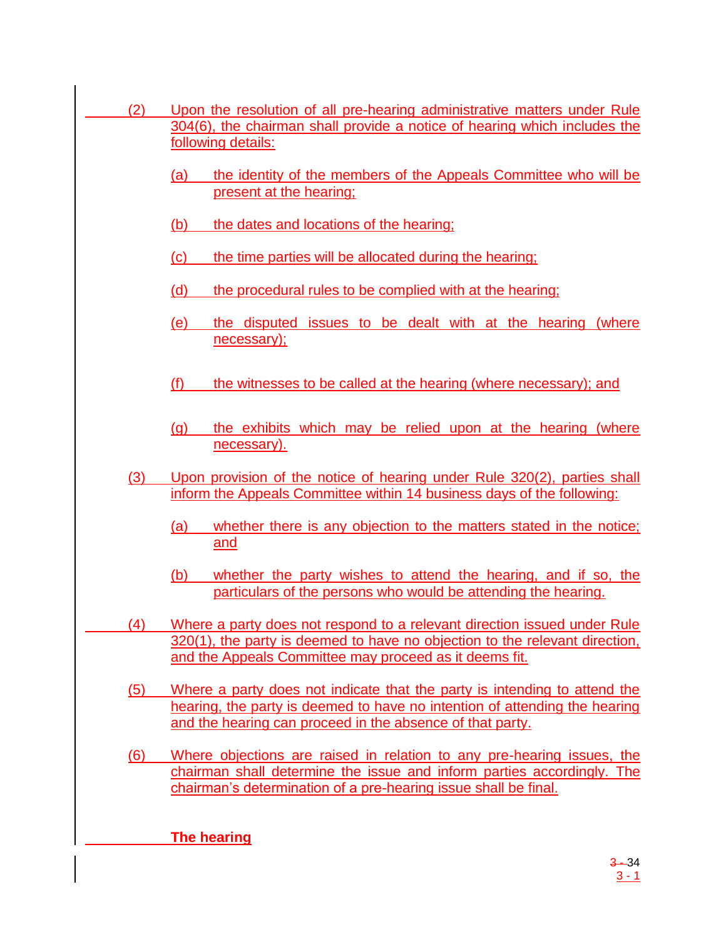(2) Upon the resolution of all pre-hearing administrative matters under Rule 304(6), the chairman shall provide a notice of hearing which includes the following details: (a) the identity of the members of the Appeals Committee who will be present at the hearing; (b) the dates and locations of the hearing; (c) the time parties will be allocated during the hearing; (d) the procedural rules to be complied with at the hearing; (e) the disputed issues to be dealt with at the hearing (where necessary); (f) the witnesses to be called at the hearing (where necessary); and (g) the exhibits which may be relied upon at the hearing (where necessary). (3) Upon provision of the notice of hearing under Rule 320(2), parties shall inform the Appeals Committee within 14 business days of the following: (a) whether there is any objection to the matters stated in the notice; and (b) whether the party wishes to attend the hearing, and if so, the particulars of the persons who would be attending the hearing. (4) Where a party does not respond to a relevant direction issued under Rule 320(1), the party is deemed to have no objection to the relevant direction, and the Appeals Committee may proceed as it deems fit. (5) Where a party does not indicate that the party is intending to attend the hearing, the party is deemed to have no intention of attending the hearing and the hearing can proceed in the absence of that party. (6) Where objections are raised in relation to any pre-hearing issues, the chairman shall determine the issue and inform parties accordingly. The chairman's determination of a pre-hearing issue shall be final. **The hearing**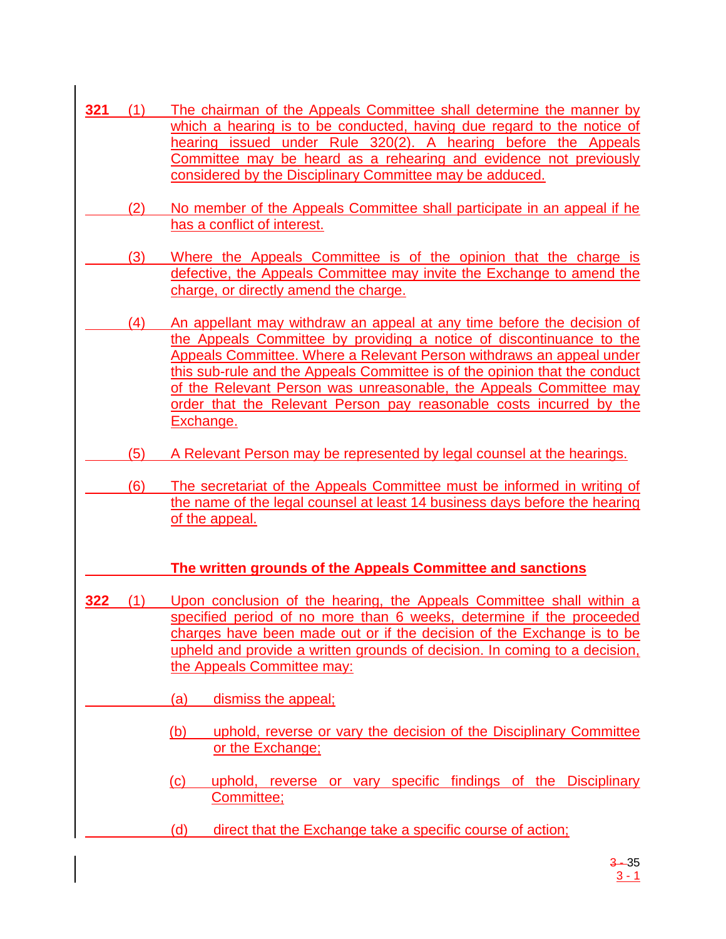- **321** (1) The chairman of the Appeals Committee shall determine the manner by which a hearing is to be conducted, having due regard to the notice of hearing issued under Rule 320(2). A hearing before the Appeals Committee may be heard as a rehearing and evidence not previously considered by the Disciplinary Committee may be adduced.
	- (2) No member of the Appeals Committee shall participate in an appeal if he has a conflict of interest.
- (3) Where the Appeals Committee is of the opinion that the charge is defective, the Appeals Committee may invite the Exchange to amend the charge, or directly amend the charge.
- (4) An appellant may withdraw an appeal at any time before the decision of the Appeals Committee by providing a notice of discontinuance to the Appeals Committee. Where a Relevant Person withdraws an appeal under this sub-rule and the Appeals Committee is of the opinion that the conduct of the Relevant Person was unreasonable, the Appeals Committee may order that the Relevant Person pay reasonable costs incurred by the Exchange.
	- (5) A Relevant Person may be represented by legal counsel at the hearings.
	- (6) The secretariat of the Appeals Committee must be informed in writing of the name of the legal counsel at least 14 business days before the hearing of the appeal.

# **The written grounds of the Appeals Committee and sanctions**

- **322** (1) Upon conclusion of the hearing, the Appeals Committee shall within a specified period of no more than 6 weeks, determine if the proceeded charges have been made out or if the decision of the Exchange is to be upheld and provide a written grounds of decision. In coming to a decision, the Appeals Committee may:
	- (a) dismiss the appeal;
		- (b) uphold, reverse or vary the decision of the Disciplinary Committee or the Exchange;
		- (c) uphold, reverse or vary specific findings of the Disciplinary Committee;
		- (d) direct that the Exchange take a specific course of action;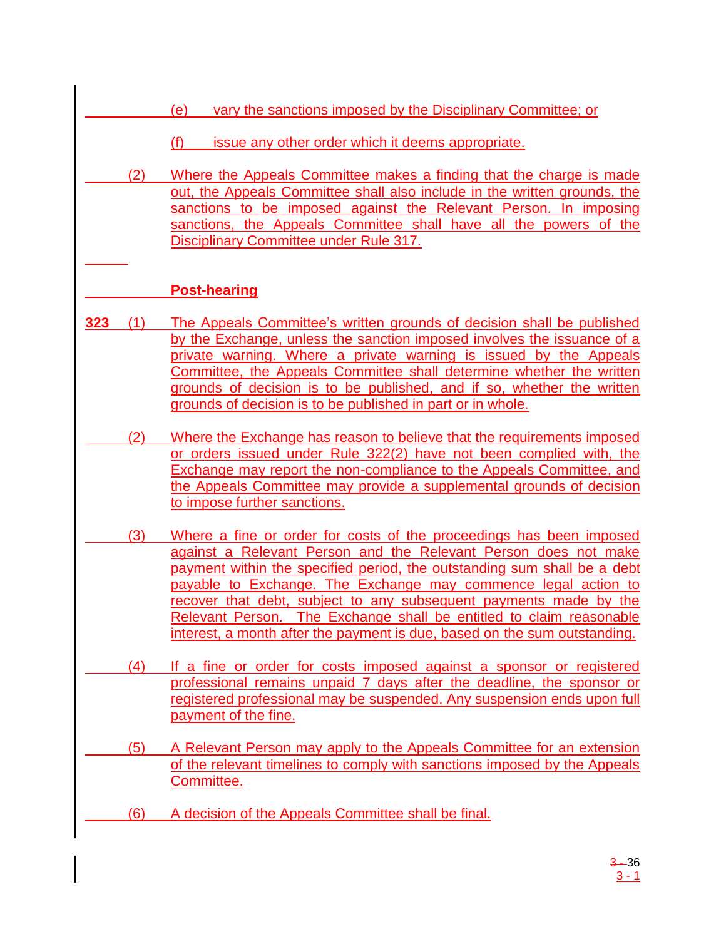- (e) vary the sanctions imposed by the Disciplinary Committee; or
	- (f) issue any other order which it deems appropriate.
- (2) Where the Appeals Committee makes a finding that the charge is made out, the Appeals Committee shall also include in the written grounds, the sanctions to be imposed against the Relevant Person. In imposing sanctions, the Appeals Committee shall have all the powers of the Disciplinary Committee under Rule 317.

# **Post-hearing**

- **323** (1) The Appeals Committee's written grounds of decision shall be published by the Exchange, unless the sanction imposed involves the issuance of a private warning. Where a private warning is issued by the Appeals Committee, the Appeals Committee shall determine whether the written grounds of decision is to be published, and if so, whether the written grounds of decision is to be published in part or in whole.
- (2) Where the Exchange has reason to believe that the requirements imposed or orders issued under Rule 322(2) have not been complied with, the Exchange may report the non-compliance to the Appeals Committee, and the Appeals Committee may provide a supplemental grounds of decision to impose further sanctions.
- (3) Where a fine or order for costs of the proceedings has been imposed against a Relevant Person and the Relevant Person does not make payment within the specified period, the outstanding sum shall be a debt payable to Exchange. The Exchange may commence legal action to recover that debt, subject to any subsequent payments made by the Relevant Person. The Exchange shall be entitled to claim reasonable interest, a month after the payment is due, based on the sum outstanding.
- (4) If a fine or order for costs imposed against a sponsor or registered professional remains unpaid 7 days after the deadline, the sponsor or registered professional may be suspended. Any suspension ends upon full payment of the fine.
- (5) A Relevant Person may apply to the Appeals Committee for an extension of the relevant timelines to comply with sanctions imposed by the Appeals Committee.
	- (6) A decision of the Appeals Committee shall be final.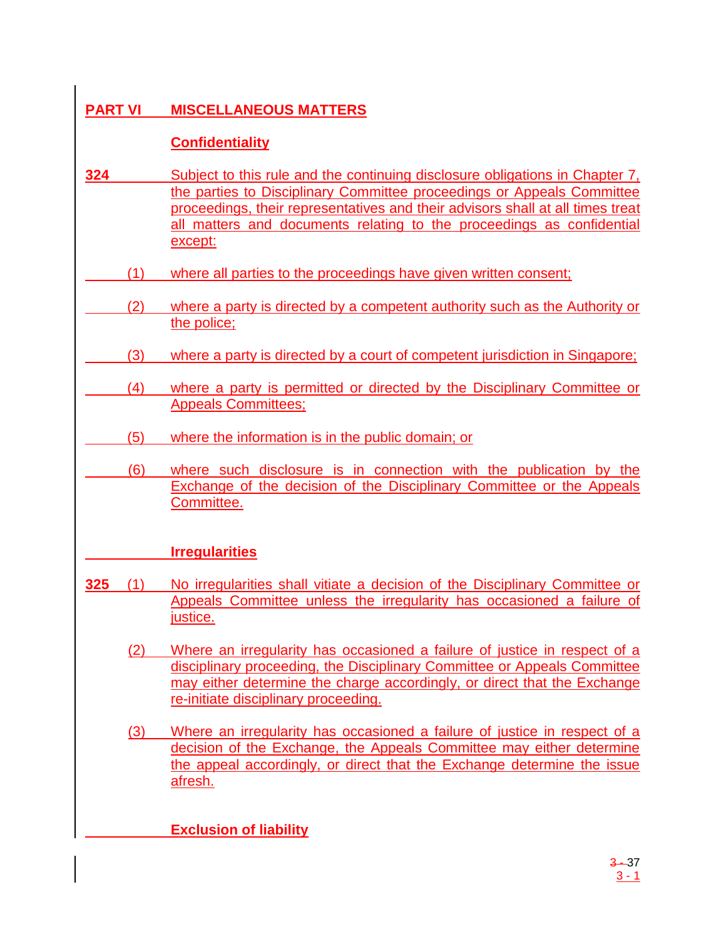# **PART VI MISCELLANEOUS MATTERS**

# **Confidentiality**

- **324** Subject to this rule and the continuing disclosure obligations in Chapter 7, the parties to Disciplinary Committee proceedings or Appeals Committee proceedings, their representatives and their advisors shall at all times treat all matters and documents relating to the proceedings as confidential except:
- (1) where all parties to the proceedings have given written consent;
- (2) where a party is directed by a competent authority such as the Authority or the police;
	- (3) where a party is directed by a court of competent jurisdiction in Singapore;
- (4) where a party is permitted or directed by the Disciplinary Committee or Appeals Committees;
	- (5) where the information is in the public domain; or
- (6) where such disclosure is in connection with the publication by the Exchange of the decision of the Disciplinary Committee or the Appeals Committee.

# **Irregularities**

- **325** (1) No irregularities shall vitiate a decision of the Disciplinary Committee or Appeals Committee unless the irregularity has occasioned a failure of justice.
	- (2) Where an irregularity has occasioned a failure of justice in respect of a disciplinary proceeding, the Disciplinary Committee or Appeals Committee may either determine the charge accordingly, or direct that the Exchange re-initiate disciplinary proceeding.
	- (3) Where an irregularity has occasioned a failure of justice in respect of a decision of the Exchange, the Appeals Committee may either determine the appeal accordingly, or direct that the Exchange determine the issue afresh.

**Exclusion of liability**